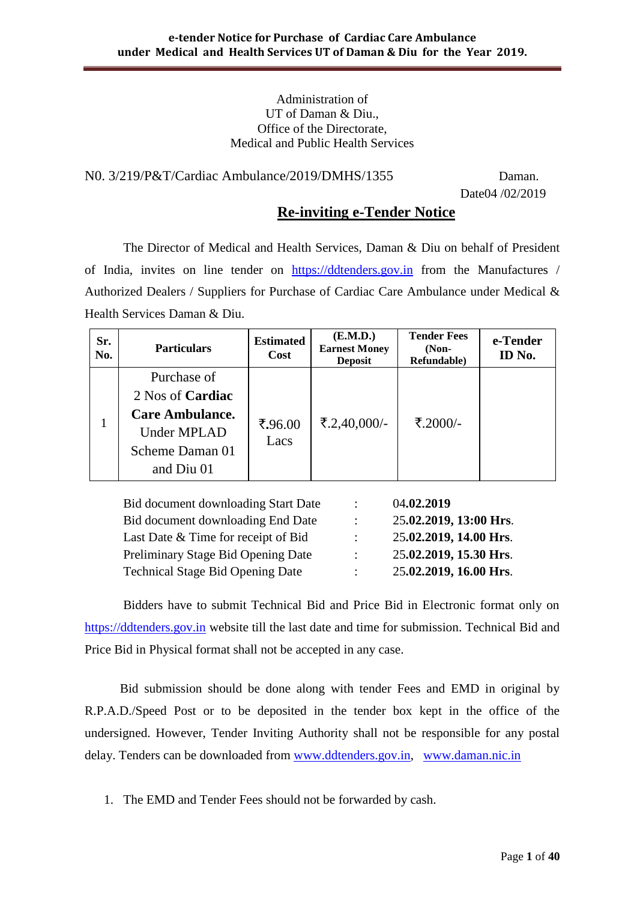#### Administration of UT of Daman & Diu., Office of the Directorate, Medical and Public Health Services

N0. 3/219/P&T/Cardiac Ambulance/2019/DMHS/1355 Daman.

Date04 /02/2019

## **Re-inviting e-Tender Notice**

The Director of Medical and Health Services, Daman & Diu on behalf of President of India, invites on line tender on [https://ddtenders.gov.in](https://ddtenders.gov.in/) from the Manufactures / Authorized Dealers / Suppliers for Purchase of Cardiac Care Ambulance under Medical & Health Services Daman & Diu.

| Sr.<br>No. | <b>Particulars</b>                                                                                                      | <b>Estimated</b><br>Cost | (E.M.D.)<br><b>Earnest Money</b><br><b>Deposit</b> | <b>Tender Fees</b><br>$(Non-$<br>Refundable) | e-Tender<br>ID No. |
|------------|-------------------------------------------------------------------------------------------------------------------------|--------------------------|----------------------------------------------------|----------------------------------------------|--------------------|
|            | Purchase of<br>2 Nos of <b>Cardiac</b><br><b>Care Ambulance.</b><br><b>Under MPLAD</b><br>Scheme Daman 01<br>and Diu 01 | ₹.96.00<br>Lacs          | ₹.2,40,000/-                                       | ₹.2000/-                                     |                    |

Bid document downloading Start Date : 04**.02.2019** Bid document downloading End Date : 25**.02.2019, 13:00 Hrs**. Last Date & Time for receipt of Bid : 25**.02.2019, 14.00 Hrs**. Preliminary Stage Bid Opening Date : 25**.02.2019, 15.30 Hrs**. Technical Stage Bid Opening Date : 25**.02.2019, 16.00 Hrs**.

Bidders have to submit Technical Bid and Price Bid in Electronic format only on [https://ddtenders.gov.in](https://dnhtenders.gov.in/nicgep/app) website till the last date and time for submission. Technical Bid and Price Bid in Physical format shall not be accepted in any case.

 Bid submission should be done along with tender Fees and EMD in original by R.P.A.D./Speed Post or to be deposited in the tender box kept in the office of the undersigned. However, Tender Inviting Authority shall not be responsible for any postal delay. Tenders can be downloaded from [www.ddtenders.gov.in,](http://www.ddtenders.gov.in/) [www.daman.nic.in](http://www.daman.nic.in/)

1. The EMD and Tender Fees should not be forwarded by cash.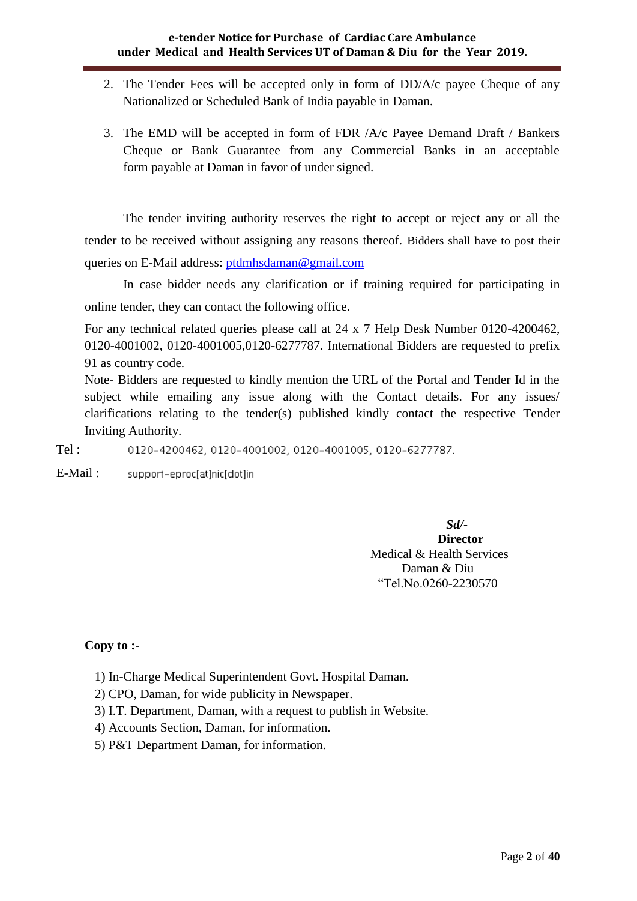- 2. The Tender Fees will be accepted only in form of DD/A/c payee Cheque of any Nationalized or Scheduled Bank of India payable in Daman.
- 3. The EMD will be accepted in form of FDR /A/c Payee Demand Draft / Bankers Cheque or Bank Guarantee from any Commercial Banks in an acceptable form payable at Daman in favor of under signed.

The tender inviting authority reserves the right to accept or reject any or all the tender to be received without assigning any reasons thereof. Bidders shall have to post their queries on E-Mail address: [ptdmhsdaman@gmail.com](mailto:ptdmhsdaman@gmail.com)

In case bidder needs any clarification or if training required for participating in online tender, they can contact the following office.

For any technical related queries please call at 24 x 7 Help Desk Number 0120-4200462, 0120-4001002, 0120-4001005,0120-6277787. International Bidders are requested to prefix 91 as country code.

Note- Bidders are requested to kindly mention the URL of the Portal and Tender Id in the subject while emailing any issue along with the Contact details. For any issues/ clarifications relating to the tender(s) published kindly contact the respective Tender Inviting Authority.

Tel : 0120-4200462, 0120-4001002, 0120-4001005, 0120-6277787.

E-Mail : support-eproc[at]nic[dot]in

> *Sd/-* **Director** Medical & Health Services Daman & Diu "Tel.No.0260-2230570

## **Copy to :-**

- 1) In-Charge Medical Superintendent Govt. Hospital Daman.
- 2) CPO, Daman, for wide publicity in Newspaper.
- 3) I.T. Department, Daman, with a request to publish in Website.
- 4) Accounts Section, Daman, for information.
- 5) P&T Department Daman, for information.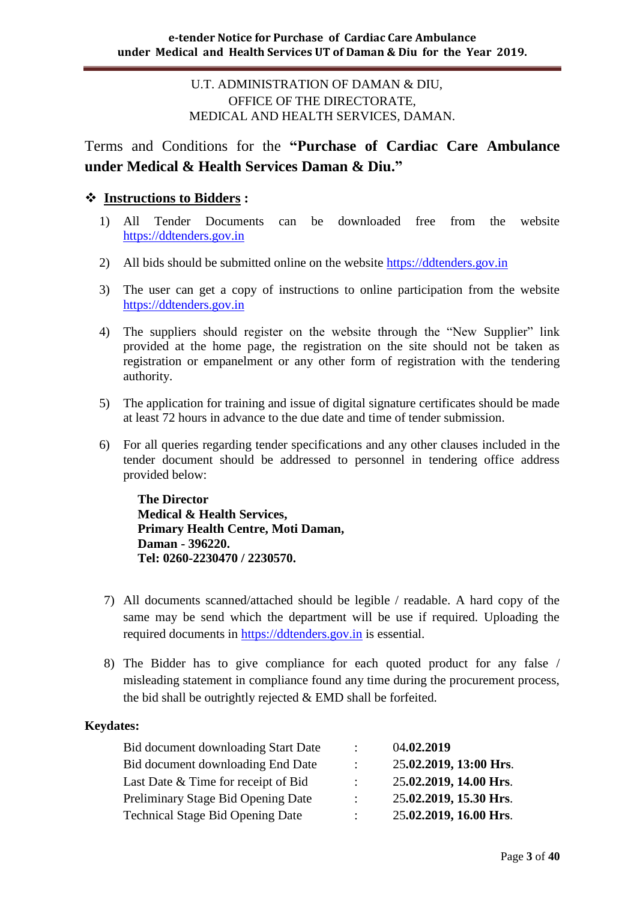## U.T. ADMINISTRATION OF DAMAN & DIU, OFFICE OF THE DIRECTORATE, MEDICAL AND HEALTH SERVICES, DAMAN.

Terms and Conditions for the **"Purchase of Cardiac Care Ambulance under Medical & Health Services Daman & Diu."** 

## **Instructions to Bidders :**

- 1) All Tender Documents can be downloaded free from the website [https://ddtenders.gov.in](https://dnhtenders.gov.in/nicgep/app)
- 2) All bids should be submitted online on the website [https://ddtenders.gov.in](https://dnhtenders.gov.in/nicgep/app)
- 3) The user can get a copy of instructions to online participation from the website [https://ddtenders.gov.in](https://dnhtenders.gov.in/nicgep/app)
- 4) The suppliers should register on the website through the "New Supplier" link provided at the home page, the registration on the site should not be taken as registration or empanelment or any other form of registration with the tendering authority.
- 5) The application for training and issue of digital signature certificates should be made at least 72 hours in advance to the due date and time of tender submission.
- 6) For all queries regarding tender specifications and any other clauses included in the tender document should be addressed to personnel in tendering office address provided below:

**The Director Medical & Health Services, Primary Health Centre, Moti Daman, Daman - 396220. Tel: 0260-2230470 / 2230570.**

- 7) All documents scanned/attached should be legible / readable. A hard copy of the same may be send which the department will be use if required. Uploading the required documents in [https://ddtenders.gov.in](https://dnhtenders.gov.in/nicgep/app) is essential.
- 8) The Bidder has to give compliance for each quoted product for any false / misleading statement in compliance found any time during the procurement process, the bid shall be outrightly rejected & EMD shall be forfeited.

#### **Keydates:**

| Bid document downloading Start Date     | $\mathbb{R}^{\mathbb{Z}}$ | 04.02.2019             |
|-----------------------------------------|---------------------------|------------------------|
| Bid document downloading End Date       | $\mathcal{L}$             | 25.02.2019, 13:00 Hrs. |
| Last Date & Time for receipt of Bid     | $\mathbb{R}^{\mathbb{Z}}$ | 25.02.2019, 14.00 Hrs. |
| Preliminary Stage Bid Opening Date      | $\mathbb{R}^{\mathbb{Z}}$ | 25.02.2019, 15.30 Hrs. |
| <b>Technical Stage Bid Opening Date</b> | $\mathbb{R}^{\mathbb{Z}}$ | 25.02.2019, 16.00 Hrs. |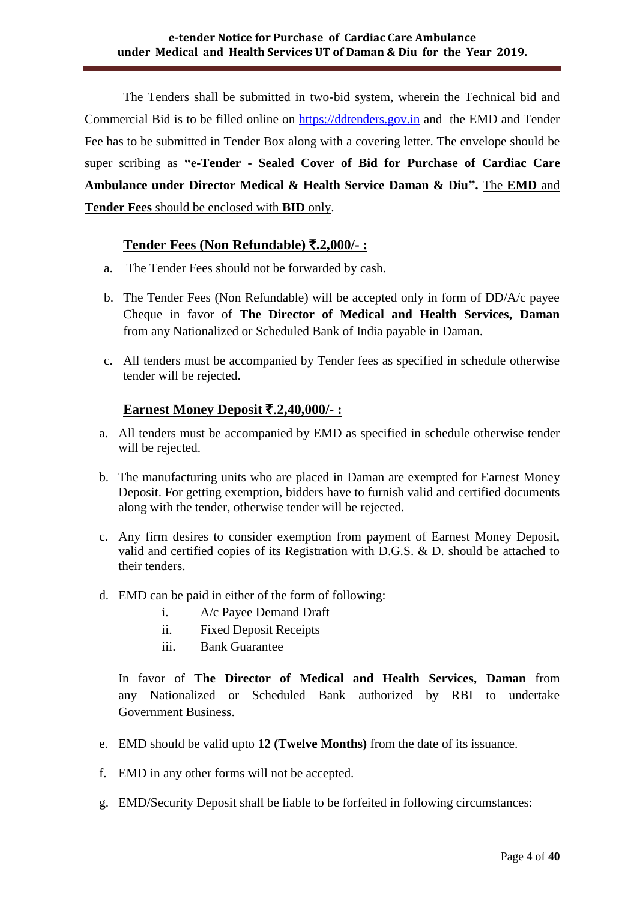The Tenders shall be submitted in two-bid system, wherein the Technical bid and Commercial Bid is to be filled online on [https://ddtenders.gov.in](https://dnhtenders.gov.in/nicgep/app) and the EMD and Tender Fee has to be submitted in Tender Box along with a covering letter. The envelope should be super scribing as **"e-Tender - Sealed Cover of Bid for Purchase of Cardiac Care Ambulance under Director Medical & Health Service Daman & Diu".** The **EMD** and **Tender Fees** should be enclosed with **BID** only.

## **Tender Fees (Non Refundable)** `**.2,000/- :**

- a. The Tender Fees should not be forwarded by cash.
- b. The Tender Fees (Non Refundable) will be accepted only in form of DD/A/c payee Cheque in favor of **The Director of Medical and Health Services, Daman**  from any Nationalized or Scheduled Bank of India payable in Daman.
- c. All tenders must be accompanied by Tender fees as specified in schedule otherwise tender will be rejected.

## **Earnest Money Deposit** `.**2,40,000/- :**

- a. All tenders must be accompanied by EMD as specified in schedule otherwise tender will be rejected.
- b. The manufacturing units who are placed in Daman are exempted for Earnest Money Deposit. For getting exemption, bidders have to furnish valid and certified documents along with the tender, otherwise tender will be rejected.
- c. Any firm desires to consider exemption from payment of Earnest Money Deposit, valid and certified copies of its Registration with D.G.S. & D. should be attached to their tenders.
- d. EMD can be paid in either of the form of following:
	- i. A/c Payee Demand Draft
	- ii. Fixed Deposit Receipts
	- iii. Bank Guarantee

In favor of **The Director of Medical and Health Services, Daman** from any Nationalized or Scheduled Bank authorized by RBI to undertake Government Business.

- e. EMD should be valid upto **12 (Twelve Months)** from the date of its issuance.
- f. EMD in any other forms will not be accepted.
- g. EMD/Security Deposit shall be liable to be forfeited in following circumstances: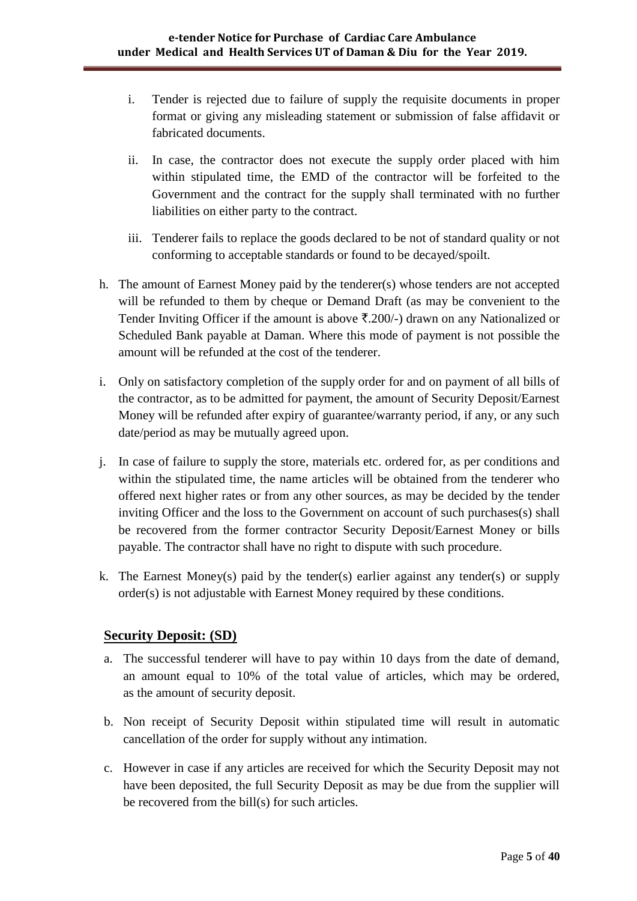- i. Tender is rejected due to failure of supply the requisite documents in proper format or giving any misleading statement or submission of false affidavit or fabricated documents.
- ii. In case, the contractor does not execute the supply order placed with him within stipulated time, the EMD of the contractor will be forfeited to the Government and the contract for the supply shall terminated with no further liabilities on either party to the contract.
- iii. Tenderer fails to replace the goods declared to be not of standard quality or not conforming to acceptable standards or found to be decayed/spoilt.
- h. The amount of Earnest Money paid by the tenderer(s) whose tenders are not accepted will be refunded to them by cheque or Demand Draft (as may be convenient to the Tender Inviting Officer if the amount is above  $\bar{\mathfrak{X}}.200/-$ ) drawn on any Nationalized or Scheduled Bank payable at Daman. Where this mode of payment is not possible the amount will be refunded at the cost of the tenderer.
- i. Only on satisfactory completion of the supply order for and on payment of all bills of the contractor, as to be admitted for payment, the amount of Security Deposit/Earnest Money will be refunded after expiry of guarantee/warranty period, if any, or any such date/period as may be mutually agreed upon.
- j. In case of failure to supply the store, materials etc. ordered for, as per conditions and within the stipulated time, the name articles will be obtained from the tenderer who offered next higher rates or from any other sources, as may be decided by the tender inviting Officer and the loss to the Government on account of such purchases(s) shall be recovered from the former contractor Security Deposit/Earnest Money or bills payable. The contractor shall have no right to dispute with such procedure.
- k. The Earnest Money(s) paid by the tender(s) earlier against any tender(s) or supply order(s) is not adjustable with Earnest Money required by these conditions.

## **Security Deposit: (SD)**

- a. The successful tenderer will have to pay within 10 days from the date of demand, an amount equal to 10% of the total value of articles, which may be ordered, as the amount of security deposit.
- b. Non receipt of Security Deposit within stipulated time will result in automatic cancellation of the order for supply without any intimation.
- c. However in case if any articles are received for which the Security Deposit may not have been deposited, the full Security Deposit as may be due from the supplier will be recovered from the bill(s) for such articles.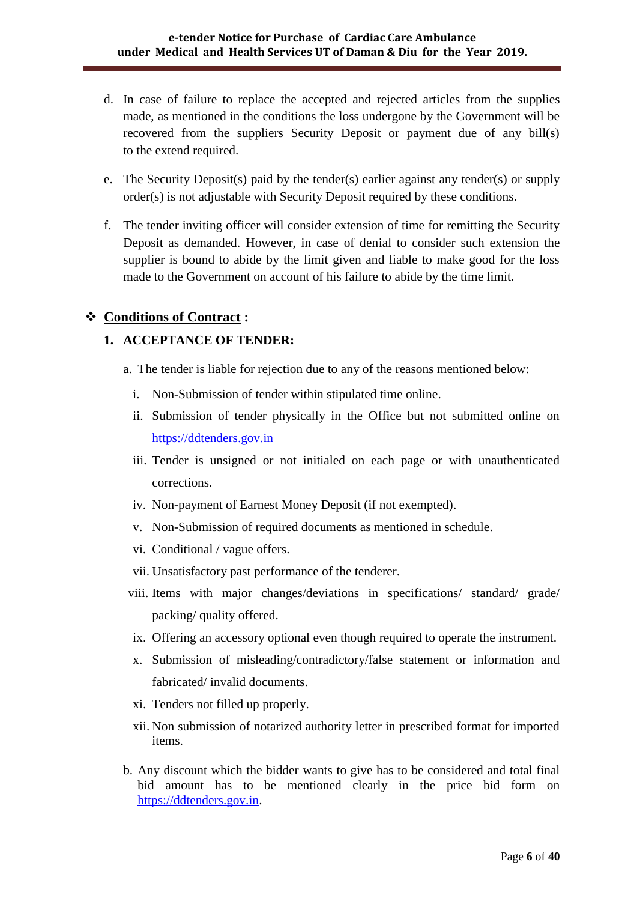- d. In case of failure to replace the accepted and rejected articles from the supplies made, as mentioned in the conditions the loss undergone by the Government will be recovered from the suppliers Security Deposit or payment due of any bill(s) to the extend required.
- e. The Security Deposit(s) paid by the tender(s) earlier against any tender(s) or supply order(s) is not adjustable with Security Deposit required by these conditions.
- f. The tender inviting officer will consider extension of time for remitting the Security Deposit as demanded. However, in case of denial to consider such extension the supplier is bound to abide by the limit given and liable to make good for the loss made to the Government on account of his failure to abide by the time limit.

## **Conditions of Contract :**

#### **1. ACCEPTANCE OF TENDER:**

- a. The tender is liable for rejection due to any of the reasons mentioned below:
	- i. Non-Submission of tender within stipulated time online.
	- ii. Submission of tender physically in the Office but not submitted online on [https://ddtenders.gov.in](https://dnhtenders.gov.in/nicgep/app)
	- iii. Tender is unsigned or not initialed on each page or with unauthenticated corrections.
	- iv. Non-payment of Earnest Money Deposit (if not exempted).
	- v. Non-Submission of required documents as mentioned in schedule.
	- vi. Conditional / vague offers.
	- vii. Unsatisfactory past performance of the tenderer.
- viii. Items with major changes/deviations in specifications/ standard/ grade/ packing/ quality offered.
- ix. Offering an accessory optional even though required to operate the instrument.
- x. Submission of misleading/contradictory/false statement or information and fabricated/ invalid documents.
- xi. Tenders not filled up properly.
- xii. Non submission of notarized authority letter in prescribed format for imported items.
- b. Any discount which the bidder wants to give has to be considered and total final bid amount has to be mentioned clearly in the price bid form on [https://ddtenders.gov.in.](https://dnhtenders.gov.in/nicgep/app)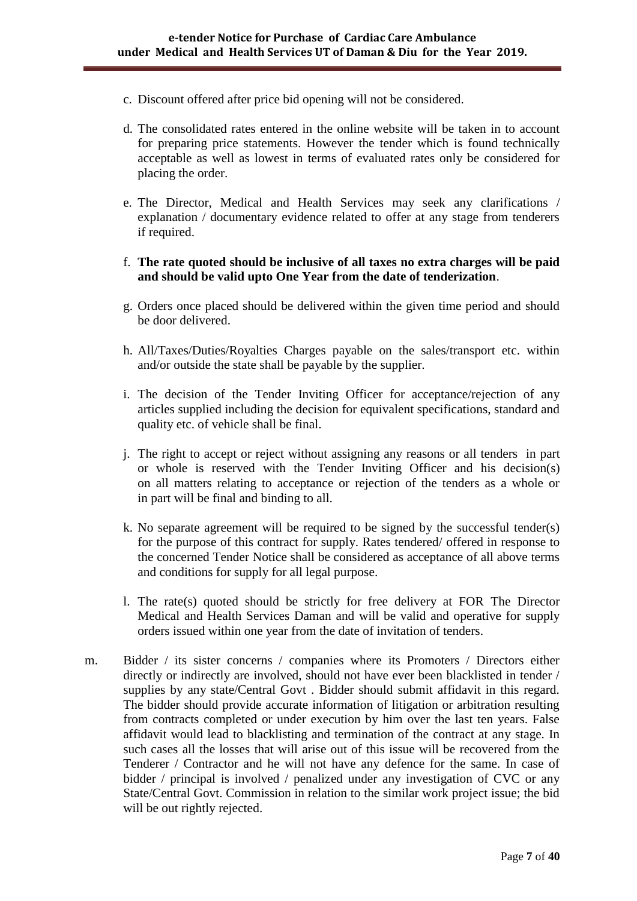- c. Discount offered after price bid opening will not be considered.
- d. The consolidated rates entered in the online website will be taken in to account for preparing price statements. However the tender which is found technically acceptable as well as lowest in terms of evaluated rates only be considered for placing the order.
- e. The Director, Medical and Health Services may seek any clarifications / explanation / documentary evidence related to offer at any stage from tenderers if required.
- f. **The rate quoted should be inclusive of all taxes no extra charges will be paid and should be valid upto One Year from the date of tenderization**.
- g. Orders once placed should be delivered within the given time period and should be door delivered.
- h. All/Taxes/Duties/Royalties Charges payable on the sales/transport etc. within and/or outside the state shall be payable by the supplier.
- i. The decision of the Tender Inviting Officer for acceptance/rejection of any articles supplied including the decision for equivalent specifications, standard and quality etc. of vehicle shall be final.
- j. The right to accept or reject without assigning any reasons or all tenders in part or whole is reserved with the Tender Inviting Officer and his decision(s) on all matters relating to acceptance or rejection of the tenders as a whole or in part will be final and binding to all.
- k. No separate agreement will be required to be signed by the successful tender(s) for the purpose of this contract for supply. Rates tendered/ offered in response to the concerned Tender Notice shall be considered as acceptance of all above terms and conditions for supply for all legal purpose.
- l. The rate(s) quoted should be strictly for free delivery at FOR The Director Medical and Health Services Daman and will be valid and operative for supply orders issued within one year from the date of invitation of tenders.
- m. Bidder / its sister concerns / companies where its Promoters / Directors either directly or indirectly are involved, should not have ever been blacklisted in tender / supplies by any state/Central Govt . Bidder should submit affidavit in this regard. The bidder should provide accurate information of litigation or arbitration resulting from contracts completed or under execution by him over the last ten years. False affidavit would lead to blacklisting and termination of the contract at any stage. In such cases all the losses that will arise out of this issue will be recovered from the Tenderer / Contractor and he will not have any defence for the same. In case of bidder / principal is involved / penalized under any investigation of CVC or any State/Central Govt. Commission in relation to the similar work project issue; the bid will be out rightly rejected.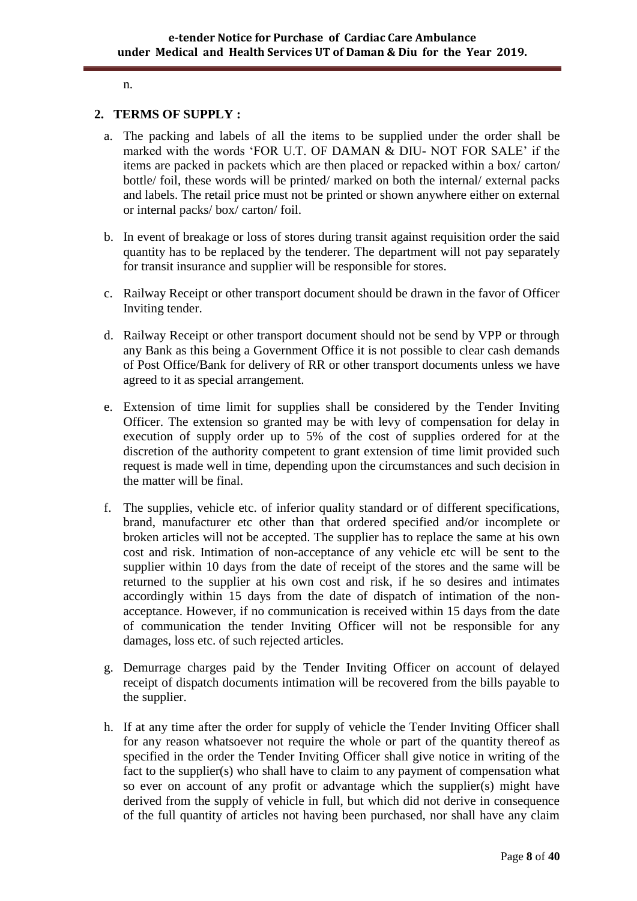#### n.

#### **2. TERMS OF SUPPLY :**

- a. The packing and labels of all the items to be supplied under the order shall be marked with the words "FOR U.T. OF DAMAN & DIU- NOT FOR SALE" if the items are packed in packets which are then placed or repacked within a box/ carton/ bottle/ foil, these words will be printed/ marked on both the internal/ external packs and labels. The retail price must not be printed or shown anywhere either on external or internal packs/ box/ carton/ foil.
- b. In event of breakage or loss of stores during transit against requisition order the said quantity has to be replaced by the tenderer. The department will not pay separately for transit insurance and supplier will be responsible for stores.
- c. Railway Receipt or other transport document should be drawn in the favor of Officer Inviting tender.
- d. Railway Receipt or other transport document should not be send by VPP or through any Bank as this being a Government Office it is not possible to clear cash demands of Post Office/Bank for delivery of RR or other transport documents unless we have agreed to it as special arrangement.
- e. Extension of time limit for supplies shall be considered by the Tender Inviting Officer. The extension so granted may be with levy of compensation for delay in execution of supply order up to 5% of the cost of supplies ordered for at the discretion of the authority competent to grant extension of time limit provided such request is made well in time, depending upon the circumstances and such decision in the matter will be final.
- f. The supplies, vehicle etc. of inferior quality standard or of different specifications, brand, manufacturer etc other than that ordered specified and/or incomplete or broken articles will not be accepted. The supplier has to replace the same at his own cost and risk. Intimation of non-acceptance of any vehicle etc will be sent to the supplier within 10 days from the date of receipt of the stores and the same will be returned to the supplier at his own cost and risk, if he so desires and intimates accordingly within 15 days from the date of dispatch of intimation of the nonacceptance. However, if no communication is received within 15 days from the date of communication the tender Inviting Officer will not be responsible for any damages, loss etc. of such rejected articles.
- g. Demurrage charges paid by the Tender Inviting Officer on account of delayed receipt of dispatch documents intimation will be recovered from the bills payable to the supplier.
- h. If at any time after the order for supply of vehicle the Tender Inviting Officer shall for any reason whatsoever not require the whole or part of the quantity thereof as specified in the order the Tender Inviting Officer shall give notice in writing of the fact to the supplier(s) who shall have to claim to any payment of compensation what so ever on account of any profit or advantage which the supplier(s) might have derived from the supply of vehicle in full, but which did not derive in consequence of the full quantity of articles not having been purchased, nor shall have any claim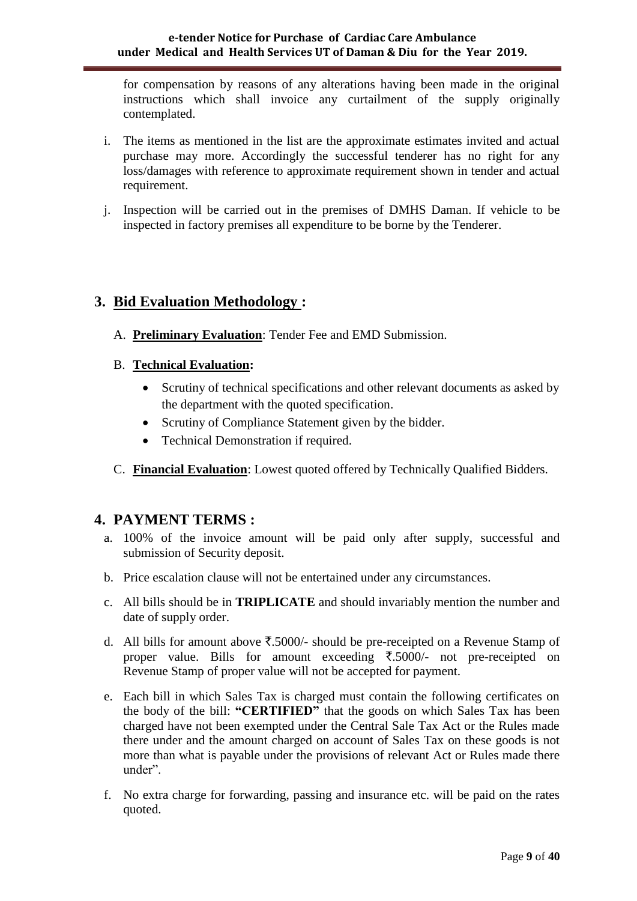for compensation by reasons of any alterations having been made in the original instructions which shall invoice any curtailment of the supply originally contemplated.

- i. The items as mentioned in the list are the approximate estimates invited and actual purchase may more. Accordingly the successful tenderer has no right for any loss/damages with reference to approximate requirement shown in tender and actual requirement.
- j. Inspection will be carried out in the premises of DMHS Daman. If vehicle to be inspected in factory premises all expenditure to be borne by the Tenderer.

# **3. Bid Evaluation Methodology :**

- A. **Preliminary Evaluation**: Tender Fee and EMD Submission.
- B. **Technical Evaluation:** 
	- Scrutiny of technical specifications and other relevant documents as asked by the department with the quoted specification.
	- Scrutiny of Compliance Statement given by the bidder.
	- Technical Demonstration if required.
- C. **Financial Evaluation**: Lowest quoted offered by Technically Qualified Bidders.

# **4. PAYMENT TERMS :**

- a. 100% of the invoice amount will be paid only after supply, successful and submission of Security deposit.
- b. Price escalation clause will not be entertained under any circumstances.
- c. All bills should be in **TRIPLICATE** and should invariably mention the number and date of supply order.
- d. All bills for amount above  $\overline{\xi}$ .5000/- should be pre-receipted on a Revenue Stamp of proper value. Bills for amount exceeding  $\overline{5.5000}$  not pre-receipted on Revenue Stamp of proper value will not be accepted for payment.
- e. Each bill in which Sales Tax is charged must contain the following certificates on the body of the bill: **"CERTIFIED"** that the goods on which Sales Tax has been charged have not been exempted under the Central Sale Tax Act or the Rules made there under and the amount charged on account of Sales Tax on these goods is not more than what is payable under the provisions of relevant Act or Rules made there under".
- f. No extra charge for forwarding, passing and insurance etc. will be paid on the rates quoted.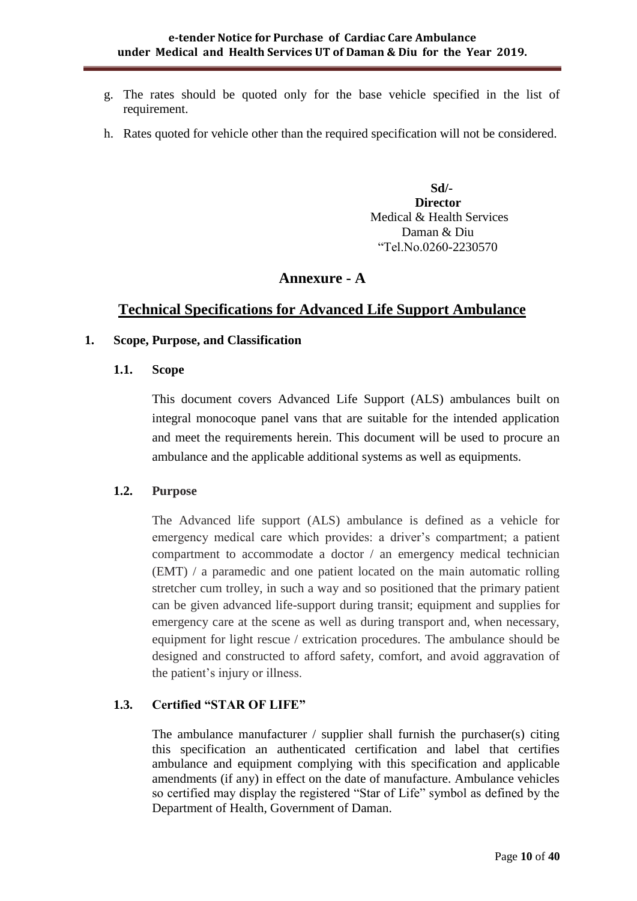- g. The rates should be quoted only for the base vehicle specified in the list of requirement.
- h. Rates quoted for vehicle other than the required specification will not be considered.

 **Sd/- Director** Medical & Health Services Daman & Diu "Tel.No.0260-2230570

## **Annexure - A**

## **Technical Specifications for Advanced Life Support Ambulance**

#### **1. Scope, Purpose, and Classification**

**1.1. Scope**

This document covers Advanced Life Support (ALS) ambulances built on integral monocoque panel vans that are suitable for the intended application and meet the requirements herein. This document will be used to procure an ambulance and the applicable additional systems as well as equipments.

#### **1.2. Purpose**

The Advanced life support (ALS) ambulance is defined as a vehicle for emergency medical care which provides: a driver's compartment; a patient compartment to accommodate a doctor / an emergency medical technician (EMT) / a paramedic and one patient located on the main automatic rolling stretcher cum trolley, in such a way and so positioned that the primary patient can be given advanced life-support during transit; equipment and supplies for emergency care at the scene as well as during transport and, when necessary, equipment for light rescue / extrication procedures. The ambulance should be designed and constructed to afford safety, comfort, and avoid aggravation of the patient"s injury or illness.

## **1.3. Certified "STAR OF LIFE"**

The ambulance manufacturer / supplier shall furnish the purchaser(s) citing this specification an authenticated certification and label that certifies ambulance and equipment complying with this specification and applicable amendments (if any) in effect on the date of manufacture. Ambulance vehicles so certified may display the registered "Star of Life" symbol as defined by the Department of Health, Government of Daman.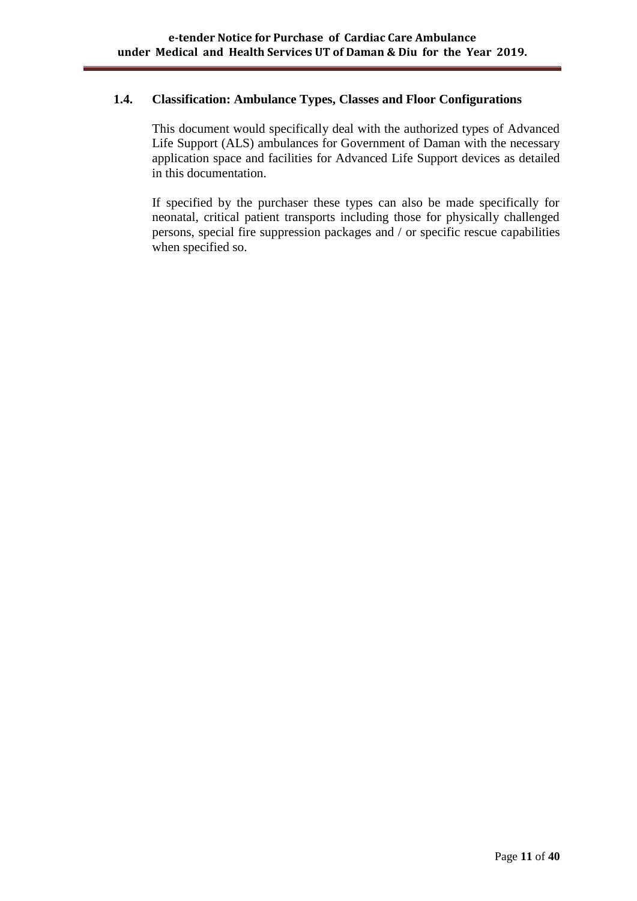#### **1.4. Classification: Ambulance Types, Classes and Floor Configurations**

This document would specifically deal with the authorized types of Advanced Life Support (ALS) ambulances for Government of Daman with the necessary application space and facilities for Advanced Life Support devices as detailed in this documentation.

If specified by the purchaser these types can also be made specifically for neonatal, critical patient transports including those for physically challenged persons, special fire suppression packages and / or specific rescue capabilities when specified so.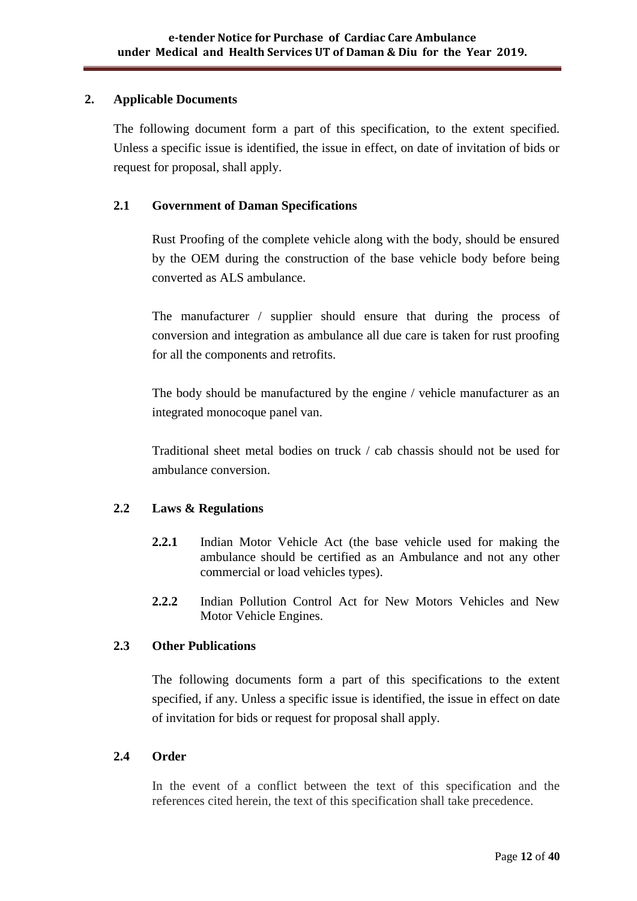#### **2. Applicable Documents**

The following document form a part of this specification, to the extent specified. Unless a specific issue is identified, the issue in effect, on date of invitation of bids or request for proposal, shall apply.

## **2.1 Government of Daman Specifications**

Rust Proofing of the complete vehicle along with the body, should be ensured by the OEM during the construction of the base vehicle body before being converted as ALS ambulance.

The manufacturer / supplier should ensure that during the process of conversion and integration as ambulance all due care is taken for rust proofing for all the components and retrofits.

The body should be manufactured by the engine / vehicle manufacturer as an integrated monocoque panel van.

Traditional sheet metal bodies on truck / cab chassis should not be used for ambulance conversion.

## **2.2 Laws & Regulations**

- **2.2.1** Indian Motor Vehicle Act (the base vehicle used for making the ambulance should be certified as an Ambulance and not any other commercial or load vehicles types).
- **2.2.2** Indian Pollution Control Act for New Motors Vehicles and New Motor Vehicle Engines.

## **2.3 Other Publications**

The following documents form a part of this specifications to the extent specified, if any. Unless a specific issue is identified, the issue in effect on date of invitation for bids or request for proposal shall apply.

#### **2.4 Order**

In the event of a conflict between the text of this specification and the references cited herein, the text of this specification shall take precedence.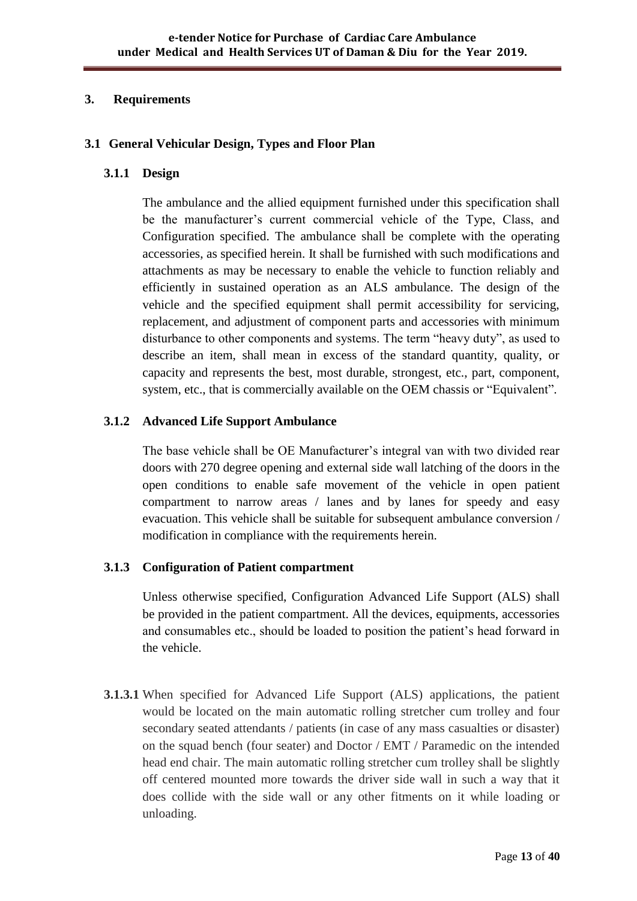#### **3. Requirements**

#### **3.1 General Vehicular Design, Types and Floor Plan**

#### **3.1.1 Design**

The ambulance and the allied equipment furnished under this specification shall be the manufacturer"s current commercial vehicle of the Type, Class, and Configuration specified. The ambulance shall be complete with the operating accessories, as specified herein. It shall be furnished with such modifications and attachments as may be necessary to enable the vehicle to function reliably and efficiently in sustained operation as an ALS ambulance. The design of the vehicle and the specified equipment shall permit accessibility for servicing, replacement, and adjustment of component parts and accessories with minimum disturbance to other components and systems. The term "heavy duty", as used to describe an item, shall mean in excess of the standard quantity, quality, or capacity and represents the best, most durable, strongest, etc., part, component, system, etc., that is commercially available on the OEM chassis or "Equivalent".

#### **3.1.2 Advanced Life Support Ambulance**

The base vehicle shall be OE Manufacturer's integral van with two divided rear doors with 270 degree opening and external side wall latching of the doors in the open conditions to enable safe movement of the vehicle in open patient compartment to narrow areas / lanes and by lanes for speedy and easy evacuation. This vehicle shall be suitable for subsequent ambulance conversion / modification in compliance with the requirements herein.

## **3.1.3 Configuration of Patient compartment**

Unless otherwise specified, Configuration Advanced Life Support (ALS) shall be provided in the patient compartment. All the devices, equipments, accessories and consumables etc., should be loaded to position the patient"s head forward in the vehicle.

**3.1.3.1** When specified for Advanced Life Support (ALS) applications, the patient would be located on the main automatic rolling stretcher cum trolley and four secondary seated attendants / patients (in case of any mass casualties or disaster) on the squad bench (four seater) and Doctor / EMT / Paramedic on the intended head end chair. The main automatic rolling stretcher cum trolley shall be slightly off centered mounted more towards the driver side wall in such a way that it does collide with the side wall or any other fitments on it while loading or unloading.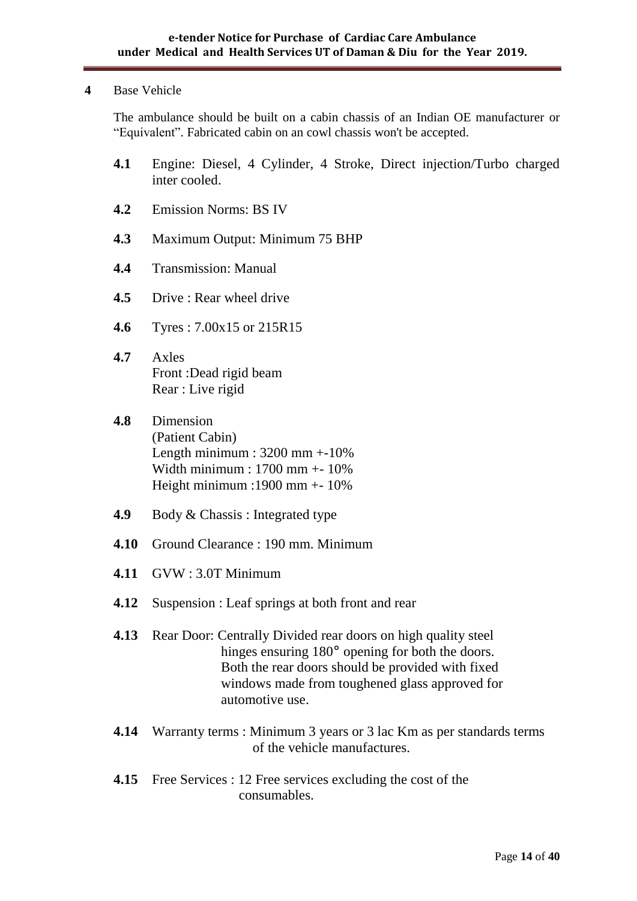#### **4** Base Vehicle

The ambulance should be built on a cabin chassis of an Indian OE manufacturer or "Equivalent". Fabricated cabin on an cowl chassis won't be accepted.

- **4.1** Engine: Diesel, 4 Cylinder, 4 Stroke, Direct injection/Turbo charged inter cooled.
- **4.2** Emission Norms: BS IV
- **4.3** Maximum Output: Minimum 75 BHP
- **4.4** Transmission: Manual
- **4.5** Drive : Rear wheel drive
- **4.6** Tyres : 7.00x15 or 215R15
- **4.7** Axles Front :Dead rigid beam Rear : Live rigid
- **4.8** Dimension (Patient Cabin) Length minimum :  $3200$  mm  $+10\%$ Width minimum : 1700 mm +- 10% Height minimum :1900 mm +- 10%
- **4.9** Body & Chassis : Integrated type
- **4.10** Ground Clearance : 190 mm. Minimum
- **4.11** GVW : 3.0T Minimum
- **4.12** Suspension : Leaf springs at both front and rear
- **4.13** Rear Door: Centrally Divided rear doors on high quality steel hinges ensuring 180<sup>°</sup> opening for both the doors. Both the rear doors should be provided with fixed windows made from toughened glass approved for automotive use.
- **4.14** Warranty terms : Minimum 3 years or 3 lac Km as per standards terms of the vehicle manufactures.
- **4.15** Free Services : 12 Free services excluding the cost of the consumables.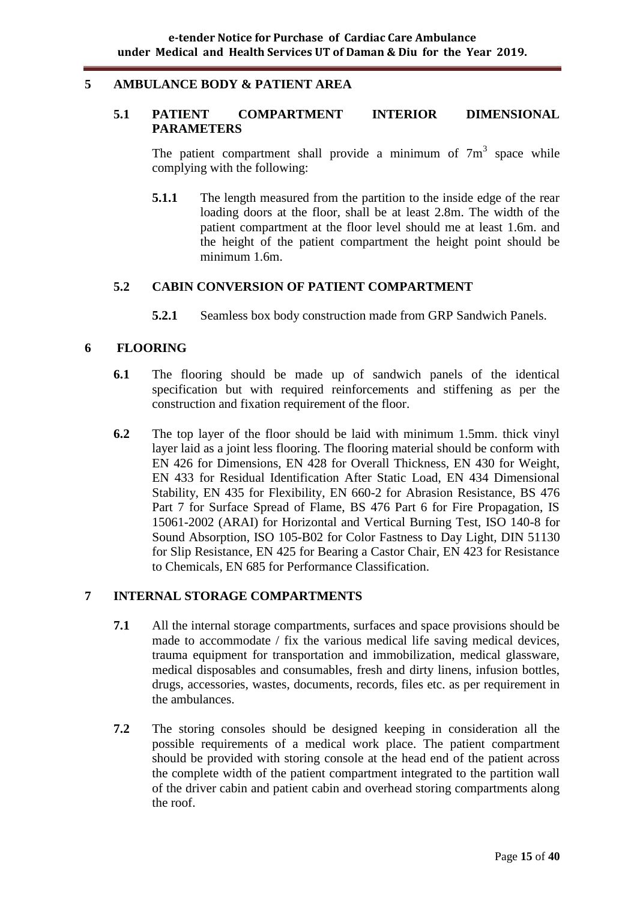#### **5 AMBULANCE BODY & PATIENT AREA**

#### **5.1 PATIENT COMPARTMENT INTERIOR DIMENSIONAL PARAMETERS**

The patient compartment shall provide a minimum of  $7m<sup>3</sup>$  space while complying with the following:

**5.1.1** The length measured from the partition to the inside edge of the rear loading doors at the floor, shall be at least 2.8m. The width of the patient compartment at the floor level should me at least 1.6m. and the height of the patient compartment the height point should be minimum 1.6m.

#### **5.2 CABIN CONVERSION OF PATIENT COMPARTMENT**

**5.2.1** Seamless box body construction made from GRP Sandwich Panels.

#### **6 FLOORING**

- **6.1** The flooring should be made up of sandwich panels of the identical specification but with required reinforcements and stiffening as per the construction and fixation requirement of the floor.
- **6.2** The top layer of the floor should be laid with minimum 1.5mm. thick vinyl layer laid as a joint less flooring. The flooring material should be conform with EN 426 for Dimensions, EN 428 for Overall Thickness, EN 430 for Weight, EN 433 for Residual Identification After Static Load, EN 434 Dimensional Stability, EN 435 for Flexibility, EN 660-2 for Abrasion Resistance, BS 476 Part 7 for Surface Spread of Flame, BS 476 Part 6 for Fire Propagation, IS 15061-2002 (ARAI) for Horizontal and Vertical Burning Test, ISO 140-8 for Sound Absorption, ISO 105-B02 for Color Fastness to Day Light, DIN 51130 for Slip Resistance, EN 425 for Bearing a Castor Chair, EN 423 for Resistance to Chemicals, EN 685 for Performance Classification.

#### **7 INTERNAL STORAGE COMPARTMENTS**

- **7.1** All the internal storage compartments, surfaces and space provisions should be made to accommodate / fix the various medical life saving medical devices, trauma equipment for transportation and immobilization, medical glassware, medical disposables and consumables, fresh and dirty linens, infusion bottles, drugs, accessories, wastes, documents, records, files etc. as per requirement in the ambulances.
- **7.2** The storing consoles should be designed keeping in consideration all the possible requirements of a medical work place. The patient compartment should be provided with storing console at the head end of the patient across the complete width of the patient compartment integrated to the partition wall of the driver cabin and patient cabin and overhead storing compartments along the roof.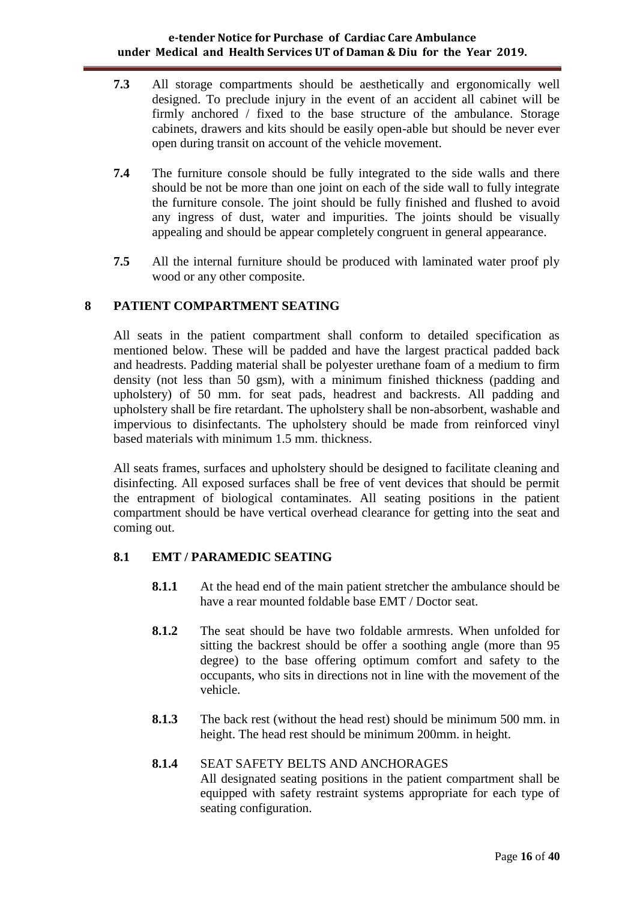- **7.3** All storage compartments should be aesthetically and ergonomically well designed. To preclude injury in the event of an accident all cabinet will be firmly anchored / fixed to the base structure of the ambulance. Storage cabinets, drawers and kits should be easily open-able but should be never ever open during transit on account of the vehicle movement.
- **7.4** The furniture console should be fully integrated to the side walls and there should be not be more than one joint on each of the side wall to fully integrate the furniture console. The joint should be fully finished and flushed to avoid any ingress of dust, water and impurities. The joints should be visually appealing and should be appear completely congruent in general appearance.
- **7.5** All the internal furniture should be produced with laminated water proof ply wood or any other composite.

## **8 PATIENT COMPARTMENT SEATING**

All seats in the patient compartment shall conform to detailed specification as mentioned below. These will be padded and have the largest practical padded back and headrests. Padding material shall be polyester urethane foam of a medium to firm density (not less than 50 gsm), with a minimum finished thickness (padding and upholstery) of 50 mm. for seat pads, headrest and backrests. All padding and upholstery shall be fire retardant. The upholstery shall be non-absorbent, washable and impervious to disinfectants. The upholstery should be made from reinforced vinyl based materials with minimum 1.5 mm. thickness.

All seats frames, surfaces and upholstery should be designed to facilitate cleaning and disinfecting. All exposed surfaces shall be free of vent devices that should be permit the entrapment of biological contaminates. All seating positions in the patient compartment should be have vertical overhead clearance for getting into the seat and coming out.

## **8.1 EMT / PARAMEDIC SEATING**

- **8.1.1** At the head end of the main patient stretcher the ambulance should be have a rear mounted foldable base EMT / Doctor seat.
- **8.1.2** The seat should be have two foldable armrests. When unfolded for sitting the backrest should be offer a soothing angle (more than 95 degree) to the base offering optimum comfort and safety to the occupants, who sits in directions not in line with the movement of the vehicle.
- **8.1.3** The back rest (without the head rest) should be minimum 500 mm. in height. The head rest should be minimum 200mm. in height.

#### **8.1.4** SEAT SAFETY BELTS AND ANCHORAGES

All designated seating positions in the patient compartment shall be equipped with safety restraint systems appropriate for each type of seating configuration.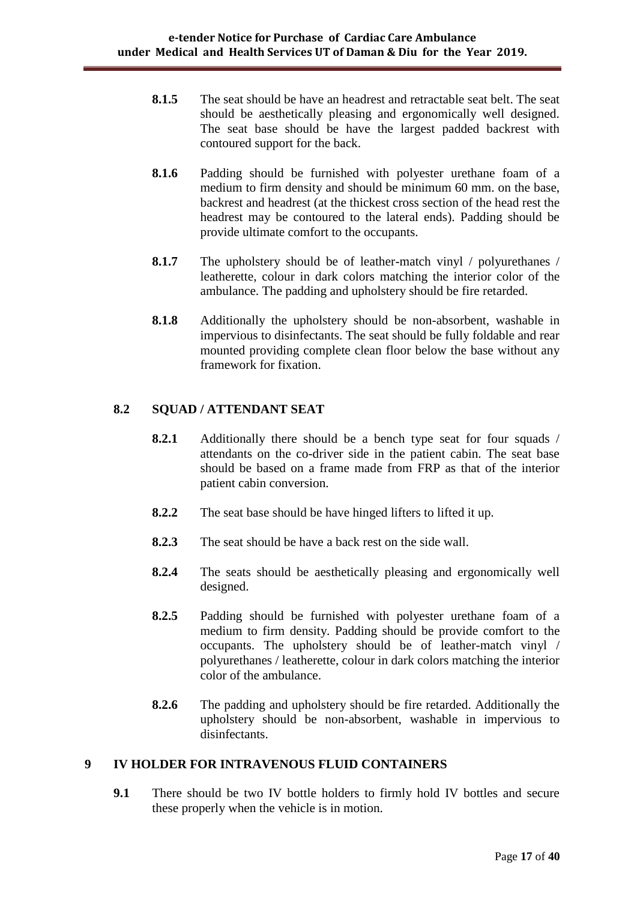- **8.1.5** The seat should be have an headrest and retractable seat belt. The seat should be aesthetically pleasing and ergonomically well designed. The seat base should be have the largest padded backrest with contoured support for the back.
- **8.1.6** Padding should be furnished with polyester urethane foam of a medium to firm density and should be minimum 60 mm. on the base, backrest and headrest (at the thickest cross section of the head rest the headrest may be contoured to the lateral ends). Padding should be provide ultimate comfort to the occupants.
- **8.1.7** The upholstery should be of leather-match vinyl / polyurethanes / leatherette, colour in dark colors matching the interior color of the ambulance. The padding and upholstery should be fire retarded.
- **8.1.8** Additionally the upholstery should be non-absorbent, washable in impervious to disinfectants. The seat should be fully foldable and rear mounted providing complete clean floor below the base without any framework for fixation.

## **8.2 SQUAD / ATTENDANT SEAT**

- **8.2.1** Additionally there should be a bench type seat for four squads / attendants on the co-driver side in the patient cabin. The seat base should be based on a frame made from FRP as that of the interior patient cabin conversion.
- **8.2.2** The seat base should be have hinged lifters to lifted it up.
- **8.2.3** The seat should be have a back rest on the side wall.
- **8.2.4** The seats should be aesthetically pleasing and ergonomically well designed.
- **8.2.5** Padding should be furnished with polyester urethane foam of a medium to firm density. Padding should be provide comfort to the occupants. The upholstery should be of leather-match vinyl / polyurethanes / leatherette, colour in dark colors matching the interior color of the ambulance.
- **8.2.6** The padding and upholstery should be fire retarded. Additionally the upholstery should be non-absorbent, washable in impervious to disinfectants.

#### **9 IV HOLDER FOR INTRAVENOUS FLUID CONTAINERS**

**9.1** There should be two IV bottle holders to firmly hold IV bottles and secure these properly when the vehicle is in motion.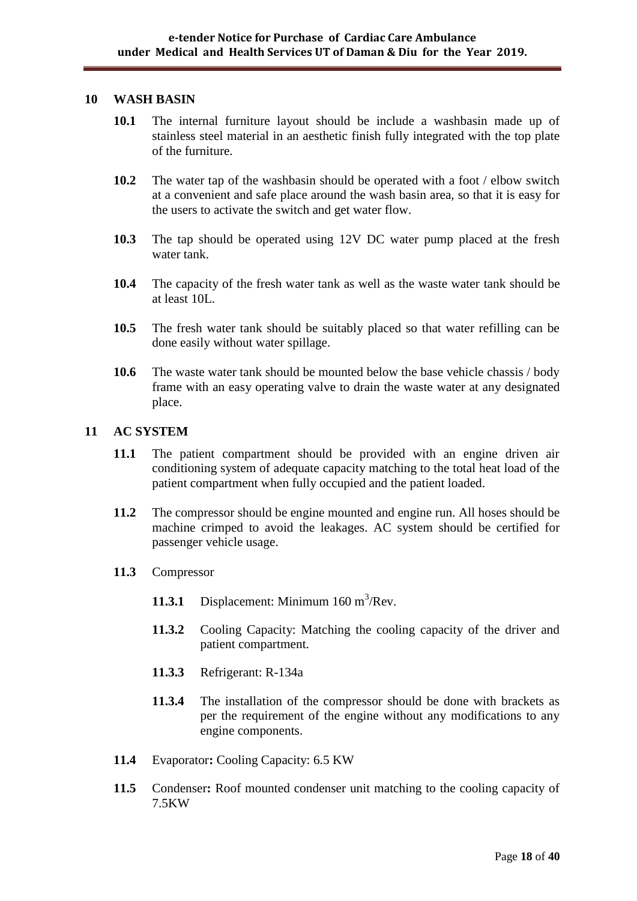#### **10 WASH BASIN**

- **10.1** The internal furniture layout should be include a washbasin made up of stainless steel material in an aesthetic finish fully integrated with the top plate of the furniture.
- **10.2** The water tap of the washbasin should be operated with a foot / elbow switch at a convenient and safe place around the wash basin area, so that it is easy for the users to activate the switch and get water flow.
- **10.3** The tap should be operated using 12V DC water pump placed at the fresh water tank.
- **10.4** The capacity of the fresh water tank as well as the waste water tank should be at least 10L.
- **10.5** The fresh water tank should be suitably placed so that water refilling can be done easily without water spillage.
- **10.6** The waste water tank should be mounted below the base vehicle chassis / body frame with an easy operating valve to drain the waste water at any designated place.

#### **11 AC SYSTEM**

- **11.1** The patient compartment should be provided with an engine driven air conditioning system of adequate capacity matching to the total heat load of the patient compartment when fully occupied and the patient loaded.
- **11.2** The compressor should be engine mounted and engine run. All hoses should be machine crimped to avoid the leakages. AC system should be certified for passenger vehicle usage.
- **11.3** Compressor
	- 11.3.1 Displacement: Minimum  $160 \text{ m}^3/\text{Rev}$ .
	- **11.3.2** Cooling Capacity: Matching the cooling capacity of the driver and patient compartment.
	- **11.3.3** Refrigerant: R-134a
	- **11.3.4** The installation of the compressor should be done with brackets as per the requirement of the engine without any modifications to any engine components.
- **11.4** Evaporator**:** Cooling Capacity: 6.5 KW
- **11.5** Condenser**:** Roof mounted condenser unit matching to the cooling capacity of 7.5KW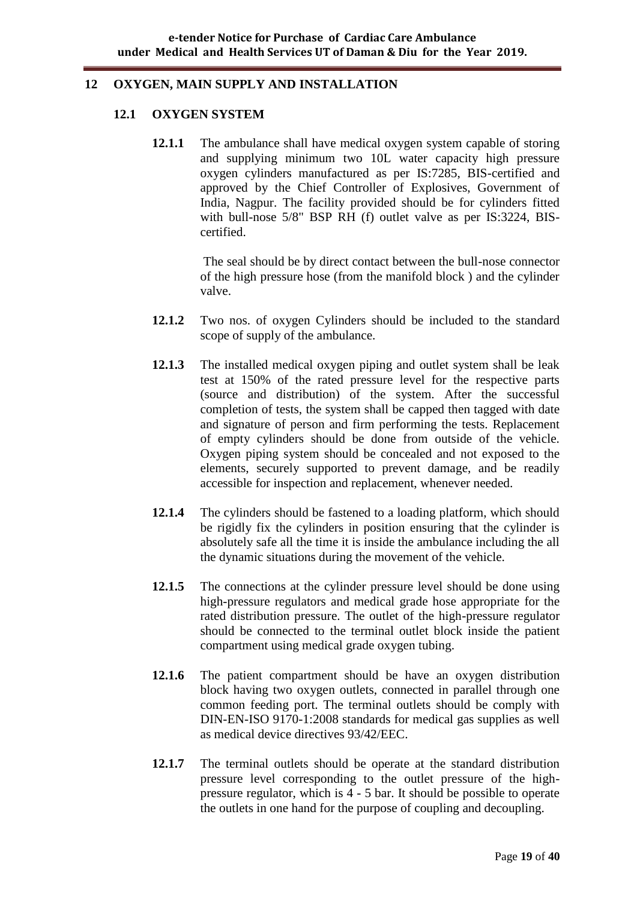#### **12 OXYGEN, MAIN SUPPLY AND INSTALLATION**

#### **12.1 OXYGEN SYSTEM**

**12.1.1** The ambulance shall have medical oxygen system capable of storing and supplying minimum two 10L water capacity high pressure oxygen cylinders manufactured as per IS:7285, BIS-certified and approved by the Chief Controller of Explosives, Government of India, Nagpur. The facility provided should be for cylinders fitted with bull-nose 5/8" BSP RH (f) outlet valve as per IS:3224, BIScertified.

> The seal should be by direct contact between the bull-nose connector of the high pressure hose (from the manifold block ) and the cylinder valve.

- **12.1.2** Two nos. of oxygen Cylinders should be included to the standard scope of supply of the ambulance.
- **12.1.3** The installed medical oxygen piping and outlet system shall be leak test at 150% of the rated pressure level for the respective parts (source and distribution) of the system. After the successful completion of tests, the system shall be capped then tagged with date and signature of person and firm performing the tests. Replacement of empty cylinders should be done from outside of the vehicle. Oxygen piping system should be concealed and not exposed to the elements, securely supported to prevent damage, and be readily accessible for inspection and replacement, whenever needed.
- **12.1.4** The cylinders should be fastened to a loading platform, which should be rigidly fix the cylinders in position ensuring that the cylinder is absolutely safe all the time it is inside the ambulance including the all the dynamic situations during the movement of the vehicle.
- **12.1.5** The connections at the cylinder pressure level should be done using high-pressure regulators and medical grade hose appropriate for the rated distribution pressure. The outlet of the high-pressure regulator should be connected to the terminal outlet block inside the patient compartment using medical grade oxygen tubing.
- **12.1.6** The patient compartment should be have an oxygen distribution block having two oxygen outlets, connected in parallel through one common feeding port. The terminal outlets should be comply with DIN-EN-ISO 9170-1:2008 standards for medical gas supplies as well as medical device directives 93/42/EEC.
- **12.1.7** The terminal outlets should be operate at the standard distribution pressure level corresponding to the outlet pressure of the highpressure regulator, which is 4 - 5 bar. It should be possible to operate the outlets in one hand for the purpose of coupling and decoupling.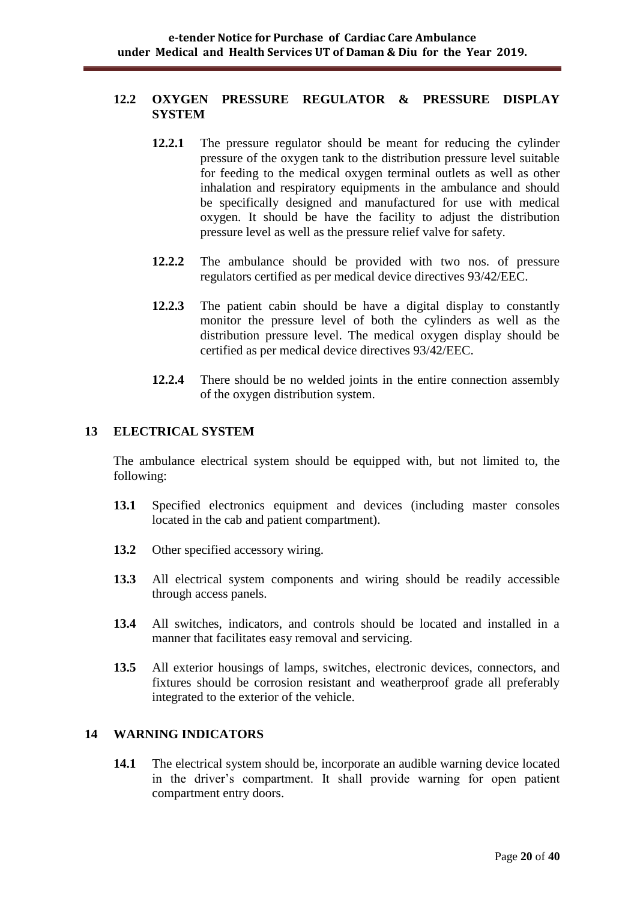#### **12.2 OXYGEN PRESSURE REGULATOR & PRESSURE DISPLAY SYSTEM**

- **12.2.1** The pressure regulator should be meant for reducing the cylinder pressure of the oxygen tank to the distribution pressure level suitable for feeding to the medical oxygen terminal outlets as well as other inhalation and respiratory equipments in the ambulance and should be specifically designed and manufactured for use with medical oxygen. It should be have the facility to adjust the distribution pressure level as well as the pressure relief valve for safety.
- **12.2.2** The ambulance should be provided with two nos. of pressure regulators certified as per medical device directives 93/42/EEC.
- **12.2.3** The patient cabin should be have a digital display to constantly monitor the pressure level of both the cylinders as well as the distribution pressure level. The medical oxygen display should be certified as per medical device directives 93/42/EEC.
- **12.2.4** There should be no welded joints in the entire connection assembly of the oxygen distribution system.

#### **13 ELECTRICAL SYSTEM**

The ambulance electrical system should be equipped with, but not limited to, the following:

- **13.1** Specified electronics equipment and devices (including master consoles located in the cab and patient compartment).
- **13.2** Other specified accessory wiring.
- **13.3** All electrical system components and wiring should be readily accessible through access panels.
- **13.4** All switches, indicators, and controls should be located and installed in a manner that facilitates easy removal and servicing.
- **13.5** All exterior housings of lamps, switches, electronic devices, connectors, and fixtures should be corrosion resistant and weatherproof grade all preferably integrated to the exterior of the vehicle.

## **14 WARNING INDICATORS**

**14.1** The electrical system should be, incorporate an audible warning device located in the driver"s compartment. It shall provide warning for open patient compartment entry doors.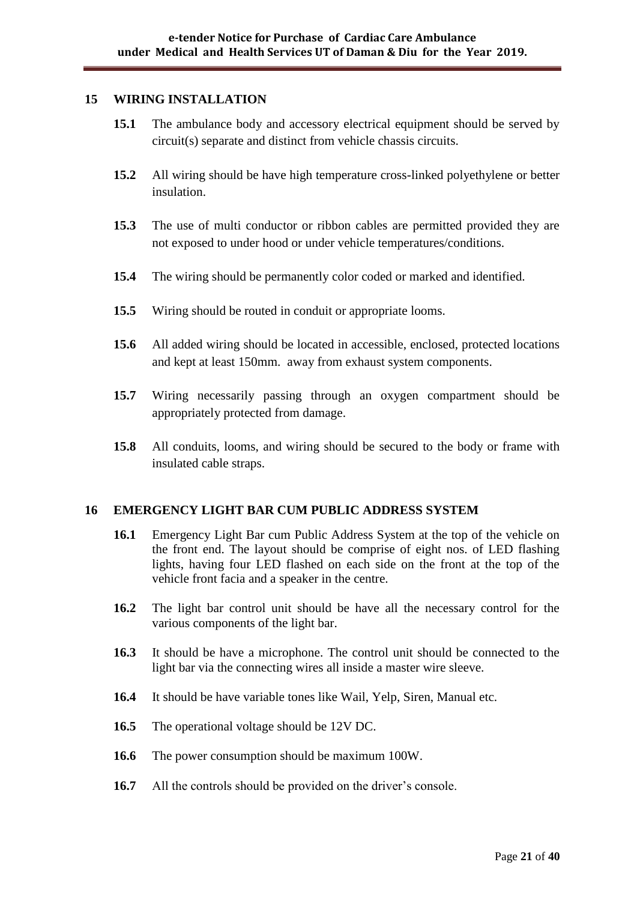#### **15 WIRING INSTALLATION**

- **15.1** The ambulance body and accessory electrical equipment should be served by circuit(s) separate and distinct from vehicle chassis circuits.
- **15.2** All wiring should be have high temperature cross-linked polyethylene or better insulation.
- **15.3** The use of multi conductor or ribbon cables are permitted provided they are not exposed to under hood or under vehicle temperatures/conditions.
- **15.4** The wiring should be permanently color coded or marked and identified.
- **15.5** Wiring should be routed in conduit or appropriate looms.
- **15.6** All added wiring should be located in accessible, enclosed, protected locations and kept at least 150mm. away from exhaust system components.
- **15.7** Wiring necessarily passing through an oxygen compartment should be appropriately protected from damage.
- **15.8** All conduits, looms, and wiring should be secured to the body or frame with insulated cable straps.

#### **16 EMERGENCY LIGHT BAR CUM PUBLIC ADDRESS SYSTEM**

- **16.1** Emergency Light Bar cum Public Address System at the top of the vehicle on the front end. The layout should be comprise of eight nos. of LED flashing lights, having four LED flashed on each side on the front at the top of the vehicle front facia and a speaker in the centre.
- **16.2** The light bar control unit should be have all the necessary control for the various components of the light bar.
- **16.3** It should be have a microphone. The control unit should be connected to the light bar via the connecting wires all inside a master wire sleeve.
- **16.4** It should be have variable tones like Wail, Yelp, Siren, Manual etc.
- **16.5** The operational voltage should be 12V DC.
- **16.6** The power consumption should be maximum 100W.
- **16.7** All the controls should be provided on the driver's console.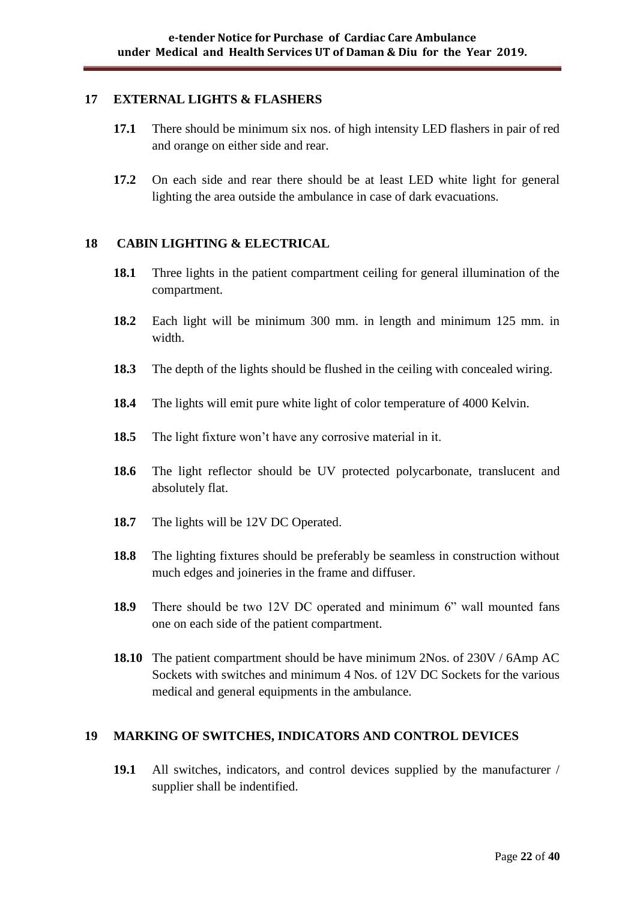#### **17 EXTERNAL LIGHTS & FLASHERS**

- **17.1** There should be minimum six nos. of high intensity LED flashers in pair of red and orange on either side and rear.
- **17.2** On each side and rear there should be at least LED white light for general lighting the area outside the ambulance in case of dark evacuations.

#### **18 CABIN LIGHTING & ELECTRICAL**

- **18.1** Three lights in the patient compartment ceiling for general illumination of the compartment.
- **18.2** Each light will be minimum 300 mm. in length and minimum 125 mm. in width
- **18.3** The depth of the lights should be flushed in the ceiling with concealed wiring.
- **18.4** The lights will emit pure white light of color temperature of 4000 Kelvin.
- **18.5** The light fixture won"t have any corrosive material in it.
- **18.6** The light reflector should be UV protected polycarbonate, translucent and absolutely flat.
- 18.7 The lights will be 12V DC Operated.
- **18.8** The lighting fixtures should be preferably be seamless in construction without much edges and joineries in the frame and diffuser.
- **18.9** There should be two 12V DC operated and minimum 6" wall mounted fans one on each side of the patient compartment.
- **18.10** The patient compartment should be have minimum 2Nos. of 230V / 6Amp AC Sockets with switches and minimum 4 Nos. of 12V DC Sockets for the various medical and general equipments in the ambulance.

#### **19 MARKING OF SWITCHES, INDICATORS AND CONTROL DEVICES**

**19.1** All switches, indicators, and control devices supplied by the manufacturer / supplier shall be indentified.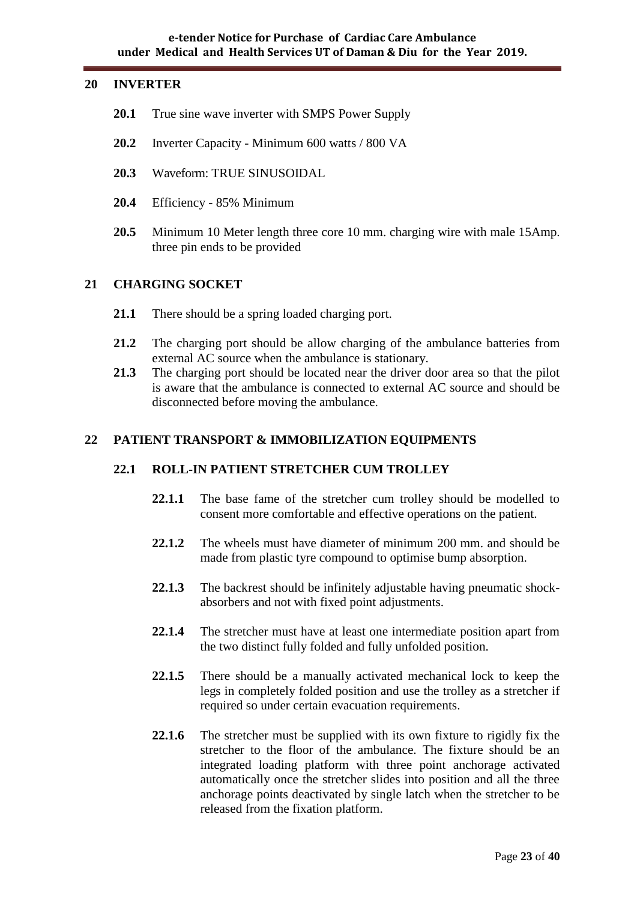#### **20 INVERTER**

- **20.1** True sine wave inverter with SMPS Power Supply
- **20.2** Inverter Capacity Minimum 600 watts / 800 VA
- **20.3** Waveform: TRUE SINUSOIDAL
- **20.4** Efficiency 85% Minimum
- **20.5** Minimum 10 Meter length three core 10 mm. charging wire with male 15Amp. three pin ends to be provided

## **21 CHARGING SOCKET**

- **21.1** There should be a spring loaded charging port.
- **21.2** The charging port should be allow charging of the ambulance batteries from external AC source when the ambulance is stationary.
- **21.3** The charging port should be located near the driver door area so that the pilot is aware that the ambulance is connected to external AC source and should be disconnected before moving the ambulance.

#### **22 PATIENT TRANSPORT & IMMOBILIZATION EQUIPMENTS**

#### **22.1 ROLL-IN PATIENT STRETCHER CUM TROLLEY**

- 22.1.1 The base fame of the stretcher cum trolley should be modelled to consent more comfortable and effective operations on the patient.
- **22.1.2** The wheels must have diameter of minimum 200 mm. and should be made from plastic tyre compound to optimise bump absorption.
- **22.1.3** The backrest should be infinitely adjustable having pneumatic shockabsorbers and not with fixed point adjustments.
- **22.1.4** The stretcher must have at least one intermediate position apart from the two distinct fully folded and fully unfolded position.
- **22.1.5** There should be a manually activated mechanical lock to keep the legs in completely folded position and use the trolley as a stretcher if required so under certain evacuation requirements.
- **22.1.6** The stretcher must be supplied with its own fixture to rigidly fix the stretcher to the floor of the ambulance. The fixture should be an integrated loading platform with three point anchorage activated automatically once the stretcher slides into position and all the three anchorage points deactivated by single latch when the stretcher to be released from the fixation platform.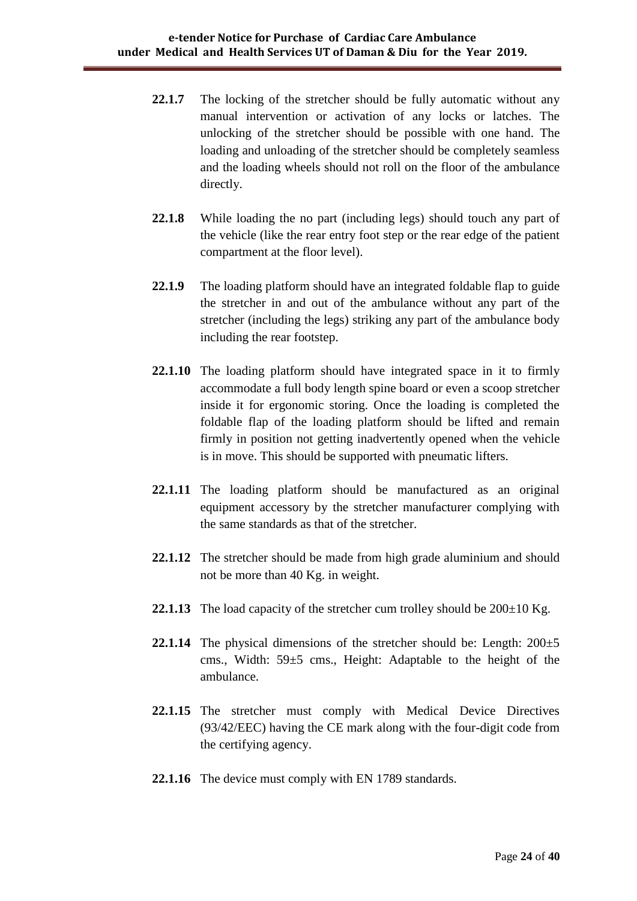- 22.1.7 The locking of the stretcher should be fully automatic without any manual intervention or activation of any locks or latches. The unlocking of the stretcher should be possible with one hand. The loading and unloading of the stretcher should be completely seamless and the loading wheels should not roll on the floor of the ambulance directly.
- **22.1.8** While loading the no part (including legs) should touch any part of the vehicle (like the rear entry foot step or the rear edge of the patient compartment at the floor level).
- **22.1.9** The loading platform should have an integrated foldable flap to guide the stretcher in and out of the ambulance without any part of the stretcher (including the legs) striking any part of the ambulance body including the rear footstep.
- **22.1.10** The loading platform should have integrated space in it to firmly accommodate a full body length spine board or even a scoop stretcher inside it for ergonomic storing. Once the loading is completed the foldable flap of the loading platform should be lifted and remain firmly in position not getting inadvertently opened when the vehicle is in move. This should be supported with pneumatic lifters.
- **22.1.11** The loading platform should be manufactured as an original equipment accessory by the stretcher manufacturer complying with the same standards as that of the stretcher.
- **22.1.12** The stretcher should be made from high grade aluminium and should not be more than 40 Kg. in weight.
- **22.1.13** The load capacity of the stretcher cum trolley should be  $200\pm10$  Kg.
- **22.1.14** The physical dimensions of the stretcher should be: Length:  $200 \pm 5$ cms., Width: 59±5 cms., Height: Adaptable to the height of the ambulance.
- **22.1.15** The stretcher must comply with Medical Device Directives (93/42/EEC) having the CE mark along with the four-digit code from the certifying agency.
- **22.1.16** The device must comply with EN 1789 standards.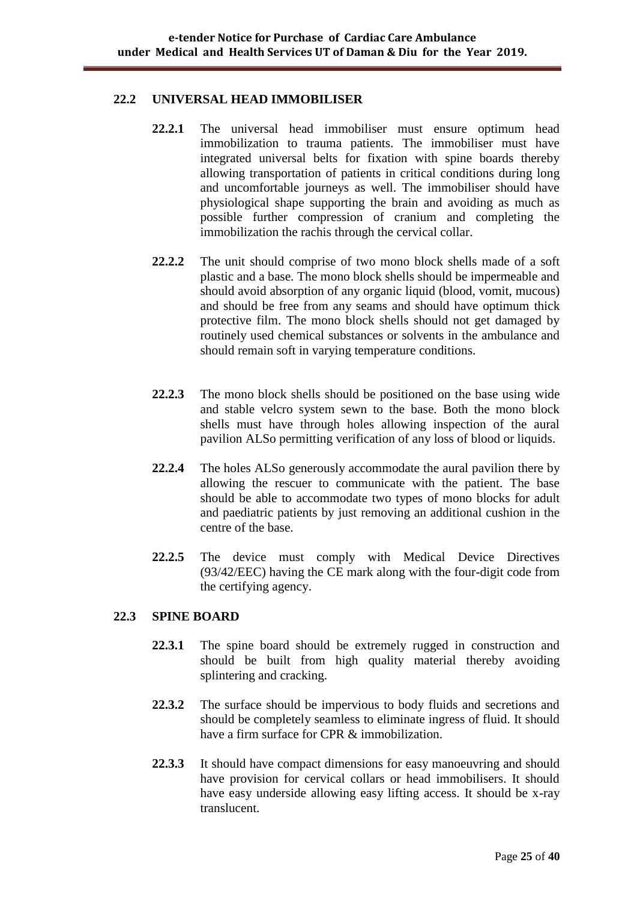#### **22.2 UNIVERSAL HEAD IMMOBILISER**

- **22.2.1** The universal head immobiliser must ensure optimum head immobilization to trauma patients. The immobiliser must have integrated universal belts for fixation with spine boards thereby allowing transportation of patients in critical conditions during long and uncomfortable journeys as well. The immobiliser should have physiological shape supporting the brain and avoiding as much as possible further compression of cranium and completing the immobilization the rachis through the cervical collar.
- **22.2.2** The unit should comprise of two mono block shells made of a soft plastic and a base. The mono block shells should be impermeable and should avoid absorption of any organic liquid (blood, vomit, mucous) and should be free from any seams and should have optimum thick protective film. The mono block shells should not get damaged by routinely used chemical substances or solvents in the ambulance and should remain soft in varying temperature conditions.
- **22.2.3** The mono block shells should be positioned on the base using wide and stable velcro system sewn to the base. Both the mono block shells must have through holes allowing inspection of the aural pavilion ALSo permitting verification of any loss of blood or liquids.
- **22.2.4** The holes ALSo generously accommodate the aural pavilion there by allowing the rescuer to communicate with the patient. The base should be able to accommodate two types of mono blocks for adult and paediatric patients by just removing an additional cushion in the centre of the base.
- **22.2.5** The device must comply with Medical Device Directives (93/42/EEC) having the CE mark along with the four-digit code from the certifying agency.

#### **22.3 SPINE BOARD**

- **22.3.1** The spine board should be extremely rugged in construction and should be built from high quality material thereby avoiding splintering and cracking.
- **22.3.2** The surface should be impervious to body fluids and secretions and should be completely seamless to eliminate ingress of fluid. It should have a firm surface for CPR & immobilization.
- **22.3.3** It should have compact dimensions for easy manoeuvring and should have provision for cervical collars or head immobilisers. It should have easy underside allowing easy lifting access. It should be x-ray translucent.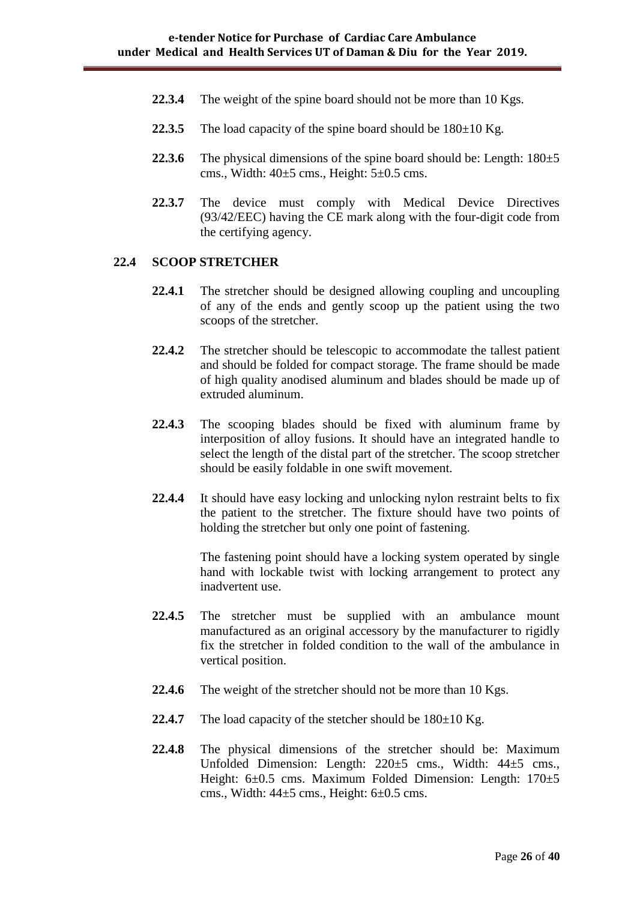- **22.3.4** The weight of the spine board should not be more than 10 Kgs.
- **22.3.5** The load capacity of the spine board should be  $180 \pm 10$  Kg.
- **22.3.6** The physical dimensions of the spine board should be: Length:  $180±5$ cms., Width:  $40\pm5$  cms., Height:  $5\pm0.5$  cms.
- **22.3.7** The device must comply with Medical Device Directives (93/42/EEC) having the CE mark along with the four-digit code from the certifying agency.

#### **22.4 SCOOP STRETCHER**

- **22.4.1** The stretcher should be designed allowing coupling and uncoupling of any of the ends and gently scoop up the patient using the two scoops of the stretcher.
- **22.4.2** The stretcher should be telescopic to accommodate the tallest patient and should be folded for compact storage. The frame should be made of high quality anodised aluminum and blades should be made up of extruded aluminum.
- **22.4.3** The scooping blades should be fixed with aluminum frame by interposition of alloy fusions. It should have an integrated handle to select the length of the distal part of the stretcher. The scoop stretcher should be easily foldable in one swift movement.
- **22.4.4** It should have easy locking and unlocking nylon restraint belts to fix the patient to the stretcher. The fixture should have two points of holding the stretcher but only one point of fastening.

The fastening point should have a locking system operated by single hand with lockable twist with locking arrangement to protect any inadvertent use.

- **22.4.5** The stretcher must be supplied with an ambulance mount manufactured as an original accessory by the manufacturer to rigidly fix the stretcher in folded condition to the wall of the ambulance in vertical position.
- 22.4.6 The weight of the stretcher should not be more than 10 Kgs.
- **22.4.7** The load capacity of the stetcher should be  $180 \pm 10$  Kg.
- **22.4.8** The physical dimensions of the stretcher should be: Maximum Unfolded Dimension: Length: 220±5 cms., Width: 44±5 cms., Height: 6±0.5 cms. Maximum Folded Dimension: Length: 170±5 cms., Width:  $44\pm5$  cms., Height:  $6\pm0.5$  cms.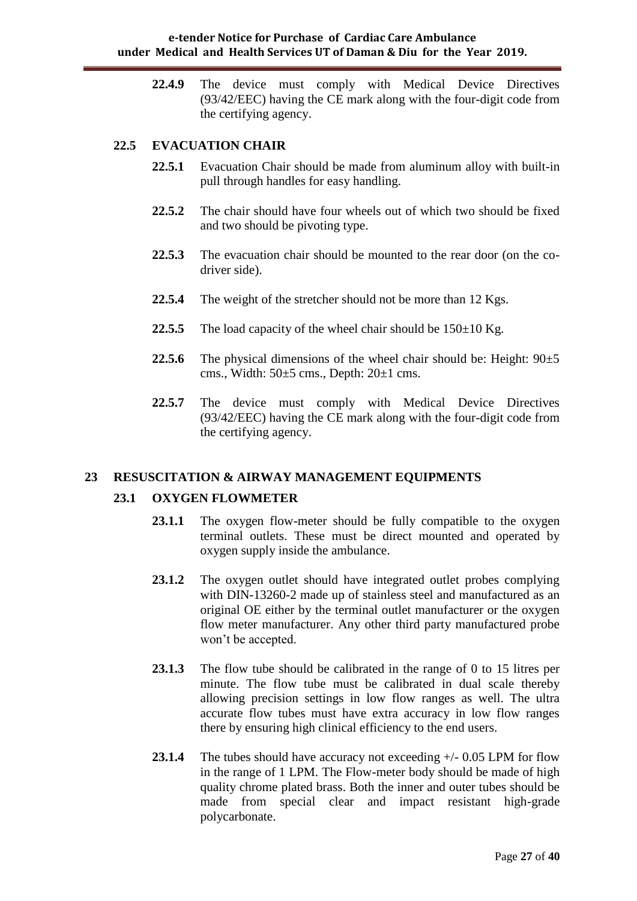**22.4.9** The device must comply with Medical Device Directives (93/42/EEC) having the CE mark along with the four-digit code from the certifying agency.

### **22.5 EVACUATION CHAIR**

- **22.5.1** Evacuation Chair should be made from aluminum alloy with built-in pull through handles for easy handling.
- **22.5.2** The chair should have four wheels out of which two should be fixed and two should be pivoting type.
- **22.5.3** The evacuation chair should be mounted to the rear door (on the codriver side).
- **22.5.4** The weight of the stretcher should not be more than 12 Kgs.
- **22.5.5** The load capacity of the wheel chair should be  $150 \pm 10$  Kg.
- **22.5.6** The physical dimensions of the wheel chair should be: Height:  $90 \pm 5$ cms., Width: 50±5 cms., Depth: 20±1 cms.
- **22.5.7** The device must comply with Medical Device Directives (93/42/EEC) having the CE mark along with the four-digit code from the certifying agency.

#### **23 RESUSCITATION & AIRWAY MANAGEMENT EQUIPMENTS**

#### **23.1 OXYGEN FLOWMETER**

- 23.1.1 The oxygen flow-meter should be fully compatible to the oxygen terminal outlets. These must be direct mounted and operated by oxygen supply inside the ambulance.
- 23.1.2 The oxygen outlet should have integrated outlet probes complying with DIN-13260-2 made up of stainless steel and manufactured as an original OE either by the terminal outlet manufacturer or the oxygen flow meter manufacturer. Any other third party manufactured probe won"t be accepted.
- **23.1.3** The flow tube should be calibrated in the range of 0 to 15 litres per minute. The flow tube must be calibrated in dual scale thereby allowing precision settings in low flow ranges as well. The ultra accurate flow tubes must have extra accuracy in low flow ranges there by ensuring high clinical efficiency to the end users.
- **23.1.4** The tubes should have accuracy not exceeding +/- 0.05 LPM for flow in the range of 1 LPM. The Flow-meter body should be made of high quality chrome plated brass. Both the inner and outer tubes should be made from special clear and impact resistant high-grade polycarbonate.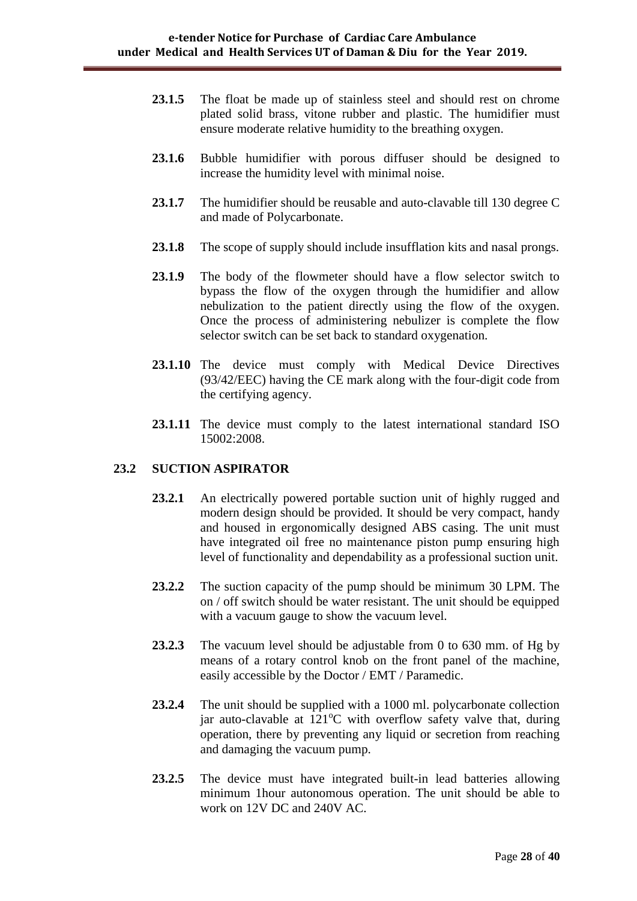- 23.1.5 The float be made up of stainless steel and should rest on chrome plated solid brass, vitone rubber and plastic. The humidifier must ensure moderate relative humidity to the breathing oxygen.
- **23.1.6** Bubble humidifier with porous diffuser should be designed to increase the humidity level with minimal noise.
- 23.1.7 The humidifier should be reusable and auto-clavable till 130 degree C and made of Polycarbonate.
- **23.1.8** The scope of supply should include insufflation kits and nasal prongs.
- **23.1.9** The body of the flowmeter should have a flow selector switch to bypass the flow of the oxygen through the humidifier and allow nebulization to the patient directly using the flow of the oxygen. Once the process of administering nebulizer is complete the flow selector switch can be set back to standard oxygenation.
- **23.1.10** The device must comply with Medical Device Directives (93/42/EEC) having the CE mark along with the four-digit code from the certifying agency.
- **23.1.11** The device must comply to the latest international standard ISO 15002:2008.

#### **23.2 SUCTION ASPIRATOR**

- **23.2.1** An electrically powered portable suction unit of highly rugged and modern design should be provided. It should be very compact, handy and housed in ergonomically designed ABS casing. The unit must have integrated oil free no maintenance piston pump ensuring high level of functionality and dependability as a professional suction unit.
- **23.2.2** The suction capacity of the pump should be minimum 30 LPM. The on / off switch should be water resistant. The unit should be equipped with a vacuum gauge to show the vacuum level.
- **23.2.3** The vacuum level should be adjustable from 0 to 630 mm. of Hg by means of a rotary control knob on the front panel of the machine, easily accessible by the Doctor / EMT / Paramedic.
- **23.2.4** The unit should be supplied with a 1000 ml. polycarbonate collection jar auto-clavable at  $121^{\circ}$ C with overflow safety valve that, during operation, there by preventing any liquid or secretion from reaching and damaging the vacuum pump.
- 23.2.5 The device must have integrated built-in lead batteries allowing minimum 1hour autonomous operation. The unit should be able to work on 12V DC and 240V AC.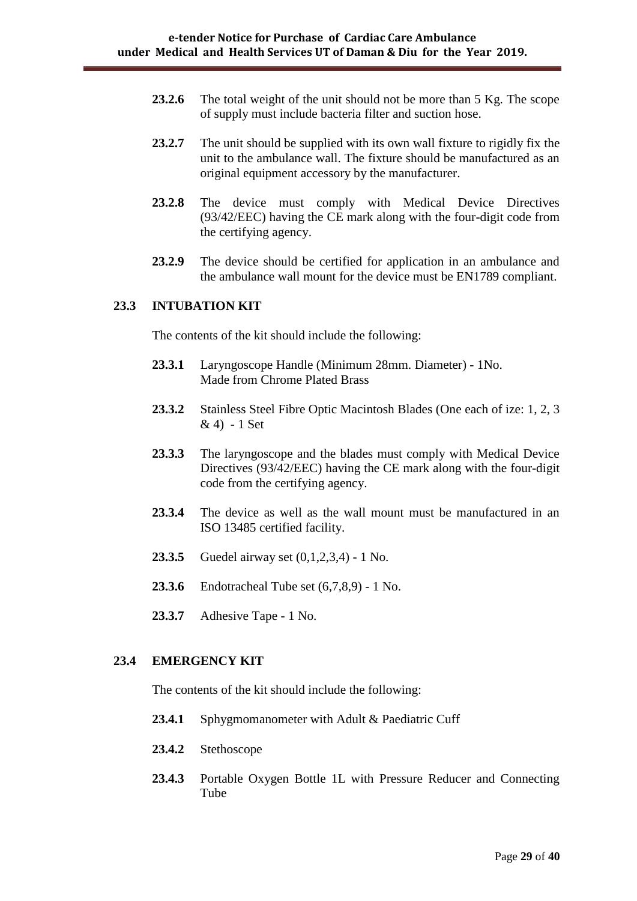- **23.2.6** The total weight of the unit should not be more than 5 Kg. The scope of supply must include bacteria filter and suction hose.
- **23.2.7** The unit should be supplied with its own wall fixture to rigidly fix the unit to the ambulance wall. The fixture should be manufactured as an original equipment accessory by the manufacturer.
- **23.2.8** The device must comply with Medical Device Directives (93/42/EEC) having the CE mark along with the four-digit code from the certifying agency.
- **23.2.9** The device should be certified for application in an ambulance and the ambulance wall mount for the device must be EN1789 compliant.

#### **23.3 INTUBATION KIT**

The contents of the kit should include the following:

- **23.3.1** Laryngoscope Handle (Minimum 28mm. Diameter) 1No. Made from Chrome Plated Brass
- **23.3.2** Stainless Steel Fibre Optic Macintosh Blades (One each of ize: 1, 2, 3 & 4) - 1 Set
- **23.3.3** The laryngoscope and the blades must comply with Medical Device Directives (93/42/EEC) having the CE mark along with the four-digit code from the certifying agency.
- **23.3.4** The device as well as the wall mount must be manufactured in an ISO 13485 certified facility.
- **23.3.5** Guedel airway set (0,1,2,3,4) 1 No.
- **23.3.6** Endotracheal Tube set (6,7,8,9) 1 No.
- **23.3.7** Adhesive Tape 1 No.

#### **23.4 EMERGENCY KIT**

The contents of the kit should include the following:

- 23.4.1 Sphygmomanometer with Adult & Paediatric Cuff
- **23.4.2** Stethoscope
- **23.4.3** Portable Oxygen Bottle 1L with Pressure Reducer and Connecting Tube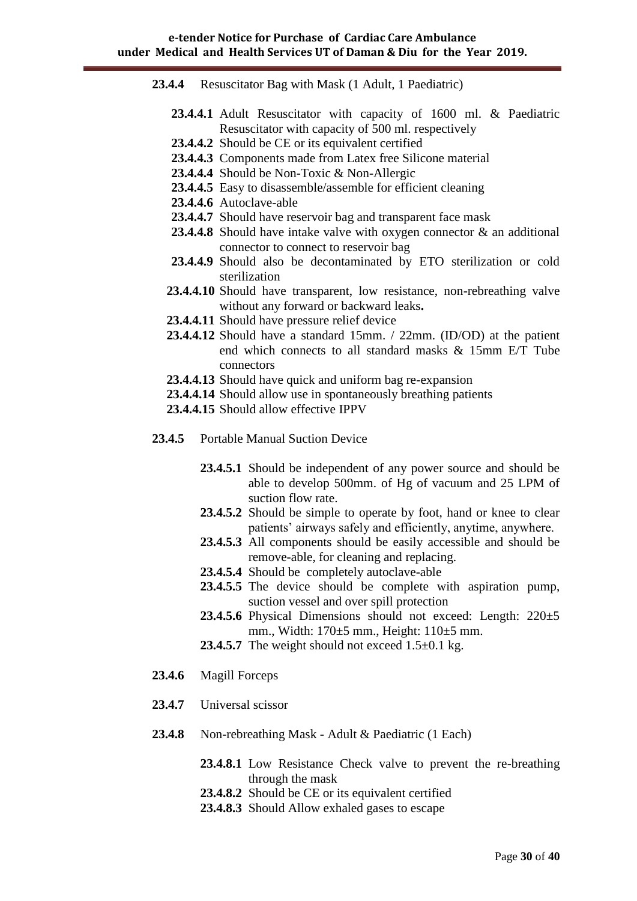| 23.4.4 Resuscitator Bag with Mask (1 Adult, 1 Paediatric) |  |                                                           |  |  |  |  |  |  |  |
|-----------------------------------------------------------|--|-----------------------------------------------------------|--|--|--|--|--|--|--|
|                                                           |  | 23.4.4.1 Adult Desuscitator with canacity of 1600 ml & Da |  |  |  |  |  |  |  |

- **23.4.4.1** Adult Resuscitator with capacity of 1600 ml. & Paediatric Resuscitator with capacity of 500 ml. respectively
- **23.4.4.2** Should be CE or its equivalent certified
- **23.4.4.3** Components made from Latex free Silicone material
- **23.4.4.4** Should be Non-Toxic & Non-Allergic
- 23.4.4.5 Easy to disassemble/assemble for efficient cleaning
- **23.4.4.6** Autoclave-able
- **23.4.4.7** Should have reservoir bag and transparent face mask
- **23.4.4.8** Should have intake valve with oxygen connector & an additional connector to connect to reservoir bag
- **23.4.4.9** Should also be decontaminated by ETO sterilization or cold sterilization
- **23.4.4.10** Should have transparent, low resistance, non-rebreathing valve without any forward or backward leaks**.**
- **23.4.4.11** Should have pressure relief device
- **23.4.4.12** Should have a standard 15mm. / 22mm. (ID/OD) at the patient end which connects to all standard masks & 15mm E/T Tube connectors
- **23.4.4.13** Should have quick and uniform bag re-expansion
- **23.4.4.14** Should allow use in spontaneously breathing patients
- **23.4.4.15** Should allow effective IPPV
- **23.4.5** Portable Manual Suction Device
	- **23.4.5.1** Should be independent of any power source and should be able to develop 500mm. of Hg of vacuum and 25 LPM of suction flow rate.
	- 23.4.5.2 Should be simple to operate by foot, hand or knee to clear patients' airways safely and efficiently, anytime, anywhere.
	- **23.4.5.3** All components should be easily accessible and should be remove-able, for cleaning and replacing.
	- **23.4.5.4** Should be completely autoclave-able
	- **23.4.5.5** The device should be complete with aspiration pump, suction vessel and over spill protection
	- **23.4.5.6** Physical Dimensions should not exceed: Length: 220±5 mm., Width: 170±5 mm., Height: 110±5 mm.
	- **23.4.5.7** The weight should not exceed  $1.5\pm0.1$  kg.
- **23.4.6** Magill Forceps
- **23.4.7** Universal scissor
- **23.4.8** Non-rebreathing Mask Adult & Paediatric (1 Each)
	- **23.4.8.1** Low Resistance Check valve to prevent the re-breathing through the mask
	- **23.4.8.2** Should be CE or its equivalent certified
	- **23.4.8.3** Should Allow exhaled gases to escape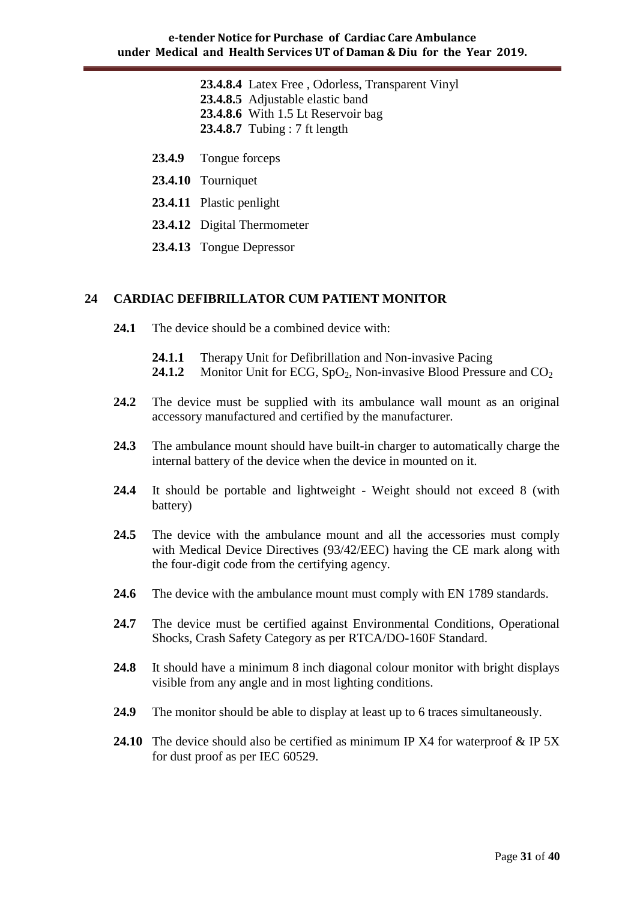- **23.4.8.4** Latex Free , Odorless, Transparent Vinyl **23.4.8.5** Adjustable elastic band **23.4.8.6** With 1.5 Lt Reservoir bag **23.4.8.7** Tubing : 7 ft length
- **23.4.9** Tongue forceps
- **23.4.10** Tourniquet
- **23.4.11** Plastic penlight
- **23.4.12** Digital Thermometer
- **23.4.13** Tongue Depressor

#### **24 CARDIAC DEFIBRILLATOR CUM PATIENT MONITOR**

- **24.1** The device should be a combined device with:
	- **24.1.1** Therapy Unit for Defibrillation and Non-invasive Pacing
	- **24.1.2** Monitor Unit for ECG,  $SpO<sub>2</sub>$ , Non-invasive Blood Pressure and CO<sub>2</sub>
- **24.2** The device must be supplied with its ambulance wall mount as an original accessory manufactured and certified by the manufacturer.
- **24.3** The ambulance mount should have built-in charger to automatically charge the internal battery of the device when the device in mounted on it.
- **24.4** It should be portable and lightweight Weight should not exceed 8 (with battery)
- **24.5** The device with the ambulance mount and all the accessories must comply with Medical Device Directives (93/42/EEC) having the CE mark along with the four-digit code from the certifying agency.
- **24.6** The device with the ambulance mount must comply with EN 1789 standards.
- **24.7** The device must be certified against Environmental Conditions, Operational Shocks, Crash Safety Category as per RTCA/DO-160F Standard.
- **24.8** It should have a minimum 8 inch diagonal colour monitor with bright displays visible from any angle and in most lighting conditions.
- **24.9** The monitor should be able to display at least up to 6 traces simultaneously.
- **24.10** The device should also be certified as minimum IP X4 for waterproof & IP 5X for dust proof as per IEC 60529.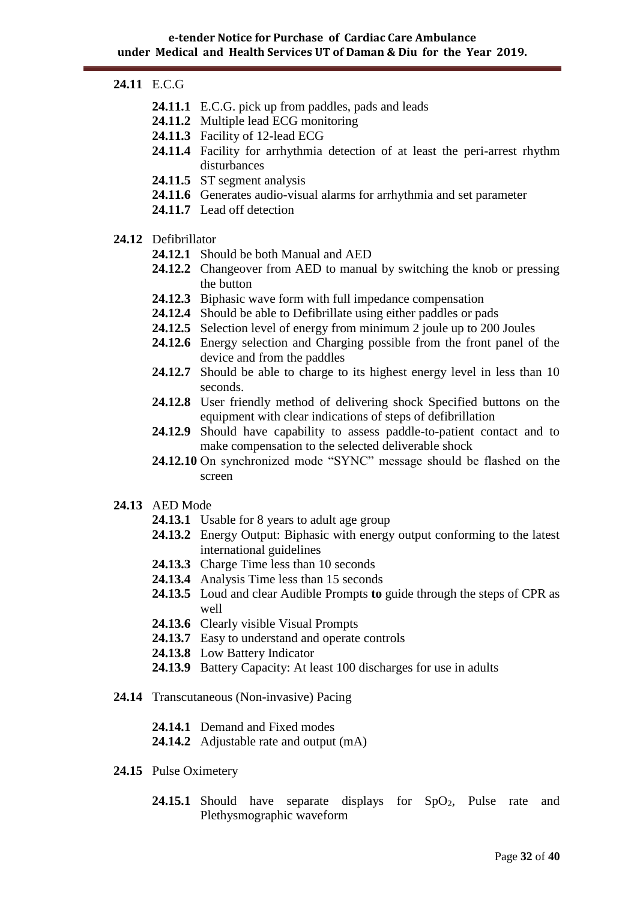#### **24.11** E.C.G

- **24.11.1** E.C.G. pick up from paddles, pads and leads
- **24.11.2** Multiple lead ECG monitoring
- **24.11.3** Facility of 12-lead ECG
- **24.11.4** Facility for arrhythmia detection of at least the peri-arrest rhythm disturbances
- **24.11.5** ST segment analysis
- **24.11.6** Generates audio-visual alarms for arrhythmia and set parameter
- **24.11.7** Lead off detection

#### **24.12** Defibrillator

- **24.12.1** Should be both Manual and AED
- **24.12.2** Changeover from AED to manual by switching the knob or pressing the button
- **24.12.3** Biphasic wave form with full impedance compensation
- **24.12.4** Should be able to Defibrillate using either paddles or pads
- **24.12.5** Selection level of energy from minimum 2 joule up to 200 Joules
- **24.12.6** Energy selection and Charging possible from the front panel of the device and from the paddles
- 24.12.7 Should be able to charge to its highest energy level in less than 10 seconds.
- **24.12.8** User friendly method of delivering shock Specified buttons on the equipment with clear indications of steps of defibrillation
- 24.12.9 Should have capability to assess paddle-to-patient contact and to make compensation to the selected deliverable shock
- **24.12.10** On synchronized mode "SYNC" message should be flashed on the screen
- **24.13** AED Mode
	- **24.13.1** Usable for 8 years to adult age group
	- **24.13.2** Energy Output: Biphasic with energy output conforming to the latest international guidelines
	- **24.13.3** Charge Time less than 10 seconds
	- **24.13.4** Analysis Time less than 15 seconds
	- **24.13.5** Loud and clear Audible Prompts **to** guide through the steps of CPR as well
	- **24.13.6** Clearly visible Visual Prompts
	- **24.13.7** Easy to understand and operate controls
	- **24.13.8** Low Battery Indicator
	- **24.13.9** Battery Capacity: At least 100 discharges for use in adults
- **24.14** Transcutaneous (Non-invasive) Pacing
	- **24.14.1** Demand and Fixed modes
	- **24.14.2** Adjustable rate and output (mA)
- **24.15** Pulse Oximetery
	- **24.15.1** Should have separate displays for  $SpO<sub>2</sub>$ , Pulse rate and Plethysmographic waveform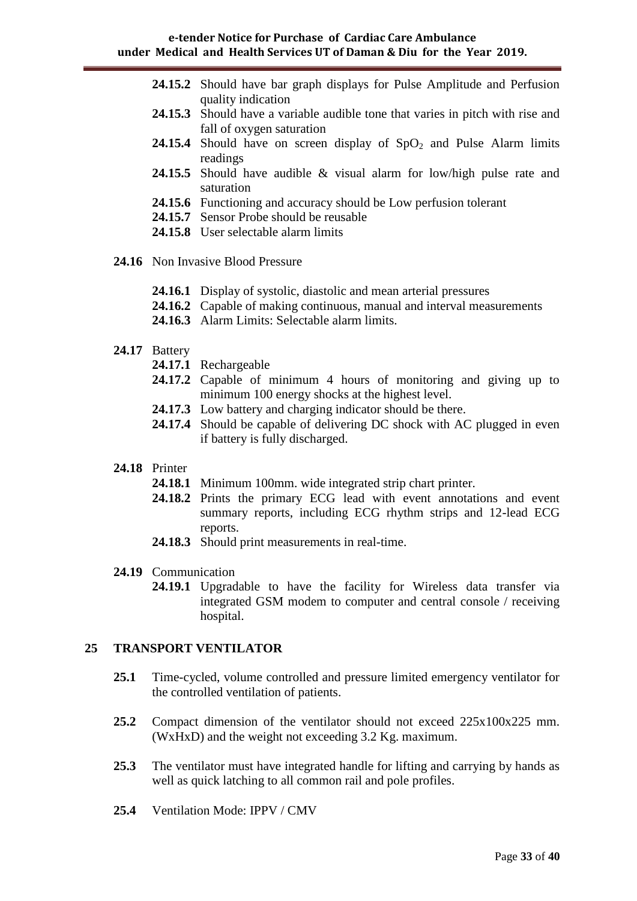- **24.15.2** Should have bar graph displays for Pulse Amplitude and Perfusion quality indication
- **24.15.3** Should have a variable audible tone that varies in pitch with rise and fall of oxygen saturation
- **24.15.4** Should have on screen display of  $SpO<sub>2</sub>$  and Pulse Alarm limits readings
- **24.15.5** Should have audible & visual alarm for low/high pulse rate and saturation
- **24.15.6** Functioning and accuracy should be Low perfusion tolerant
- **24.15.7** Sensor Probe should be reusable
- **24.15.8** User selectable alarm limits
- **24.16** Non Invasive Blood Pressure
	- **24.16.1** Display of systolic, diastolic and mean arterial pressures
	- **24.16.2** Capable of making continuous, manual and interval measurements
	- **24.16.3** Alarm Limits: Selectable alarm limits.
- **24.17** Battery
	- **24.17.1** Rechargeable
	- **24.17.2** Capable of minimum 4 hours of monitoring and giving up to minimum 100 energy shocks at the highest level.
	- **24.17.3** Low battery and charging indicator should be there.
	- 24.17.4 Should be capable of delivering DC shock with AC plugged in even if battery is fully discharged.
- **24.18** Printer
	- **24.18.1** Minimum 100mm. wide integrated strip chart printer.
	- **24.18.2** Prints the primary ECG lead with event annotations and event summary reports, including ECG rhythm strips and 12-lead ECG reports.
	- **24.18.3** Should print measurements in real-time.
- **24.19** Communication
	- **24.19.1** Upgradable to have the facility for Wireless data transfer via integrated GSM modem to computer and central console / receiving hospital.

#### **25 TRANSPORT VENTILATOR**

- **25.1** Time-cycled, volume controlled and pressure limited emergency ventilator for the controlled ventilation of patients.
- **25.2** Compact dimension of the ventilator should not exceed 225x100x225 mm. (WxHxD) and the weight not exceeding 3.2 Kg. maximum.
- **25.3** The ventilator must have integrated handle for lifting and carrying by hands as well as quick latching to all common rail and pole profiles.
- **25.4** Ventilation Mode: IPPV / CMV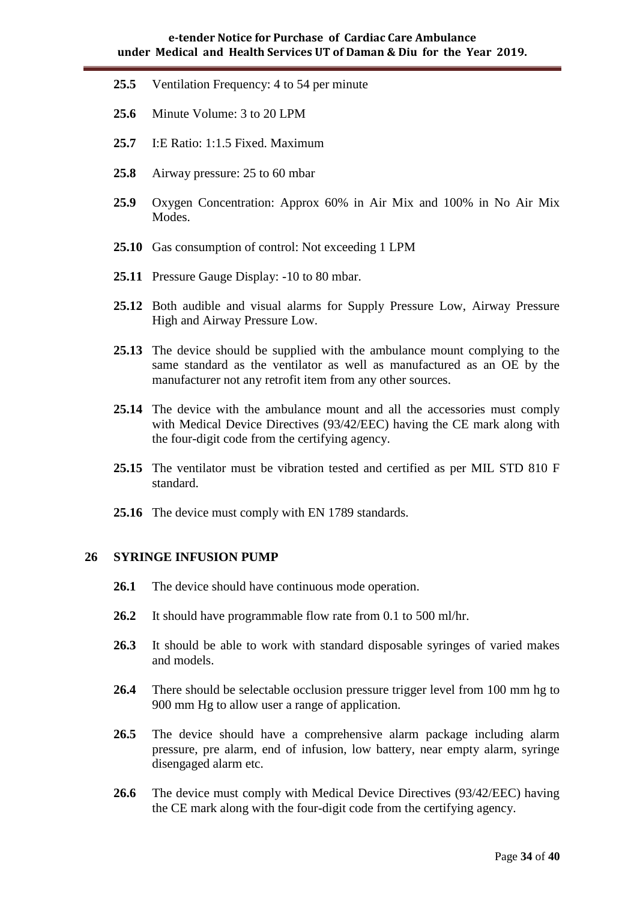- **25.5** Ventilation Frequency: 4 to 54 per minute
- **25.6** Minute Volume: 3 to 20 LPM
- **25.7** I:E Ratio: 1:1.5 Fixed. Maximum
- **25.8** Airway pressure: 25 to 60 mbar
- **25.9** Oxygen Concentration: Approx 60% in Air Mix and 100% in No Air Mix Modes.
- **25.10** Gas consumption of control: Not exceeding 1 LPM
- **25.11** Pressure Gauge Display: -10 to 80 mbar.
- **25.12** Both audible and visual alarms for Supply Pressure Low, Airway Pressure High and Airway Pressure Low.
- **25.13** The device should be supplied with the ambulance mount complying to the same standard as the ventilator as well as manufactured as an OE by the manufacturer not any retrofit item from any other sources.
- **25.14** The device with the ambulance mount and all the accessories must comply with Medical Device Directives (93/42/EEC) having the CE mark along with the four-digit code from the certifying agency.
- **25.15** The ventilator must be vibration tested and certified as per MIL STD 810 F standard.
- **25.16** The device must comply with EN 1789 standards.

#### **26 SYRINGE INFUSION PUMP**

- **26.1** The device should have continuous mode operation.
- **26.2** It should have programmable flow rate from 0.1 to 500 ml/hr.
- **26.3** It should be able to work with standard disposable syringes of varied makes and models.
- **26.4** There should be selectable occlusion pressure trigger level from 100 mm hg to 900 mm Hg to allow user a range of application.
- **26.5** The device should have a comprehensive alarm package including alarm pressure, pre alarm, end of infusion, low battery, near empty alarm, syringe disengaged alarm etc.
- **26.6** The device must comply with Medical Device Directives (93/42/EEC) having the CE mark along with the four-digit code from the certifying agency.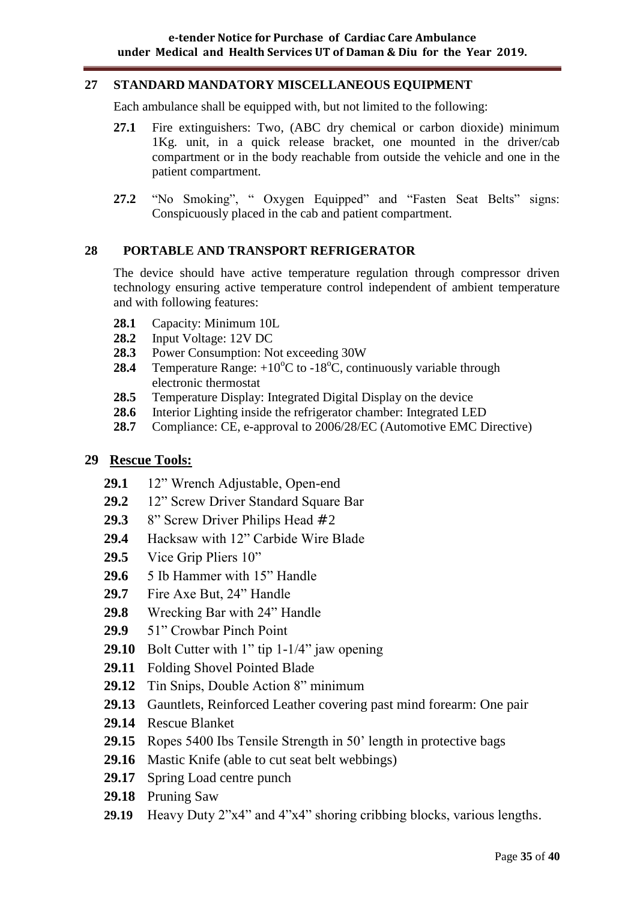#### **27 STANDARD MANDATORY MISCELLANEOUS EQUIPMENT**

Each ambulance shall be equipped with, but not limited to the following:

- **27.1** Fire extinguishers: Two, (ABC dry chemical or carbon dioxide) minimum 1Kg. unit, in a quick release bracket, one mounted in the driver/cab compartment or in the body reachable from outside the vehicle and one in the patient compartment.
- **27.2** "No Smoking", " Oxygen Equipped" and "Fasten Seat Belts" signs: Conspicuously placed in the cab and patient compartment.

#### **28 PORTABLE AND TRANSPORT REFRIGERATOR**

The device should have active temperature regulation through compressor driven technology ensuring active temperature control independent of ambient temperature and with following features:

- **28.1** Capacity: Minimum 10L
- **28.2** Input Voltage: 12V DC
- **28.3** Power Consumption: Not exceeding 30W
- **28.4** Temperature Range:  $+10^{\circ}$ C to  $-18^{\circ}$ C, continuously variable through electronic thermostat
- **28.5** Temperature Display: Integrated Digital Display on the device
- **28.6** Interior Lighting inside the refrigerator chamber: Integrated LED
- **28.7** Compliance: CE, e-approval to 2006/28/EC (Automotive EMC Directive)

## **29 Rescue Tools:**

- **29.1** 12" Wrench Adjustable, Open-end
- **29.2** 12" Screw Driver Standard Square Bar
- 29.3 8" Screw Driver Philips Head #2
- **29.4** Hacksaw with 12" Carbide Wire Blade
- **29.5** Vice Grip Pliers 10"
- **29.6** 5 Ib Hammer with 15" Handle
- **29.7** Fire Axe But, 24" Handle
- **29.8** Wrecking Bar with 24" Handle
- **29.9** 51" Crowbar Pinch Point
- **29.10** Bolt Cutter with 1" tip 1-1/4" jaw opening
- **29.11** Folding Shovel Pointed Blade
- **29.12** Tin Snips, Double Action 8" minimum
- **29.13** Gauntlets, Reinforced Leather covering past mind forearm: One pair
- **29.14** Rescue Blanket
- **29.15** Ropes 5400 Ibs Tensile Strength in 50" length in protective bags
- **29.16** Mastic Knife (able to cut seat belt webbings)
- **29.17** Spring Load centre punch
- **29.18** Pruning Saw
- **29.19** Heavy Duty 2"x4" and 4"x4" shoring cribbing blocks, various lengths.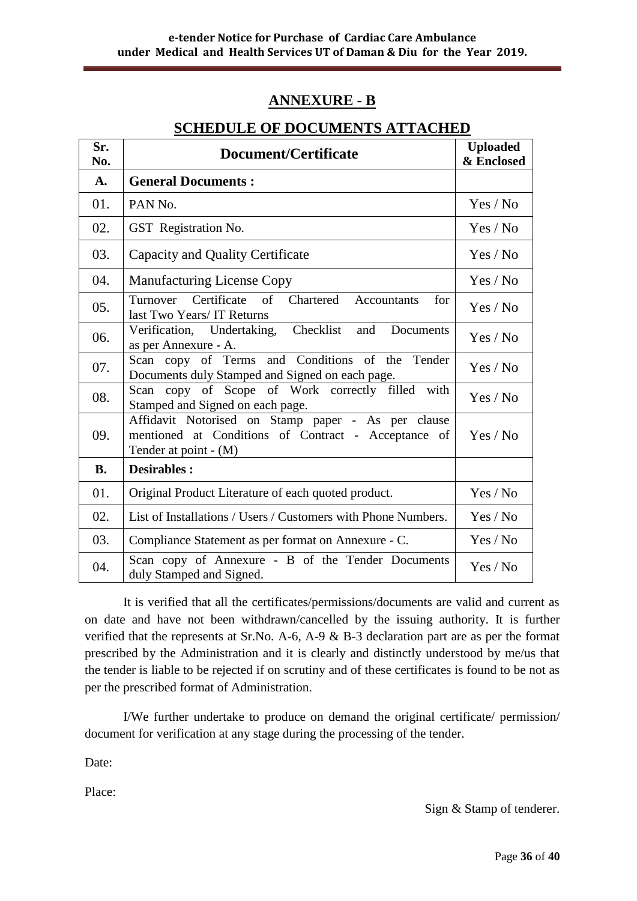# **ANNEXURE - B**

| Sr.<br>No. | Document/Certificate                                                                                                                 | <b>Uploaded</b><br>& Enclosed |
|------------|--------------------------------------------------------------------------------------------------------------------------------------|-------------------------------|
| A.         | <b>General Documents:</b>                                                                                                            |                               |
| 01.        | PAN <sub>No.</sub>                                                                                                                   | Yes / No                      |
| 02.        | GST Registration No.                                                                                                                 | Yes / No                      |
| 03.        | Capacity and Quality Certificate                                                                                                     | Yes / No                      |
| 04.        | <b>Manufacturing License Copy</b>                                                                                                    | Yes / No                      |
| 05.        | Turnover Certificate<br>of<br>Chartered Accountants<br>for<br>last Two Years/ IT Returns                                             | Yes / No                      |
| 06.        | Verification, Undertaking, Checklist<br>and<br>Documents<br>as per Annexure - A.                                                     | Yes / No                      |
| 07.        | Scan copy of Terms and Conditions of the Tender<br>Documents duly Stamped and Signed on each page.                                   | Yes / No                      |
| 08.        | copy of Scope of Work correctly filled with<br>Scan<br>Stamped and Signed on each page.                                              | Yes / No                      |
| 09.        | Affidavit Notorised on Stamp paper - As per clause<br>mentioned at Conditions of Contract - Acceptance of<br>Tender at point $- (M)$ | Yes / No                      |
| <b>B.</b>  | <b>Desirables:</b>                                                                                                                   |                               |
| 01.        | Original Product Literature of each quoted product.                                                                                  | Yes / No                      |
| 02.        | List of Installations / Users / Customers with Phone Numbers.                                                                        | Yes / No                      |
| 03.        | Compliance Statement as per format on Annexure - C.                                                                                  | Yes / No                      |
| 04.        | Scan copy of Annexure - B of the Tender Documents<br>duly Stamped and Signed.                                                        | Yes / No                      |

## **SCHEDULE OF DOCUMENTS ATTACHED**

It is verified that all the certificates/permissions/documents are valid and current as on date and have not been withdrawn/cancelled by the issuing authority. It is further verified that the represents at Sr.No. A-6, A-9 & B-3 declaration part are as per the format prescribed by the Administration and it is clearly and distinctly understood by me/us that the tender is liable to be rejected if on scrutiny and of these certificates is found to be not as per the prescribed format of Administration.

I/We further undertake to produce on demand the original certificate/ permission/ document for verification at any stage during the processing of the tender.

Date:

Place:

Sign & Stamp of tenderer.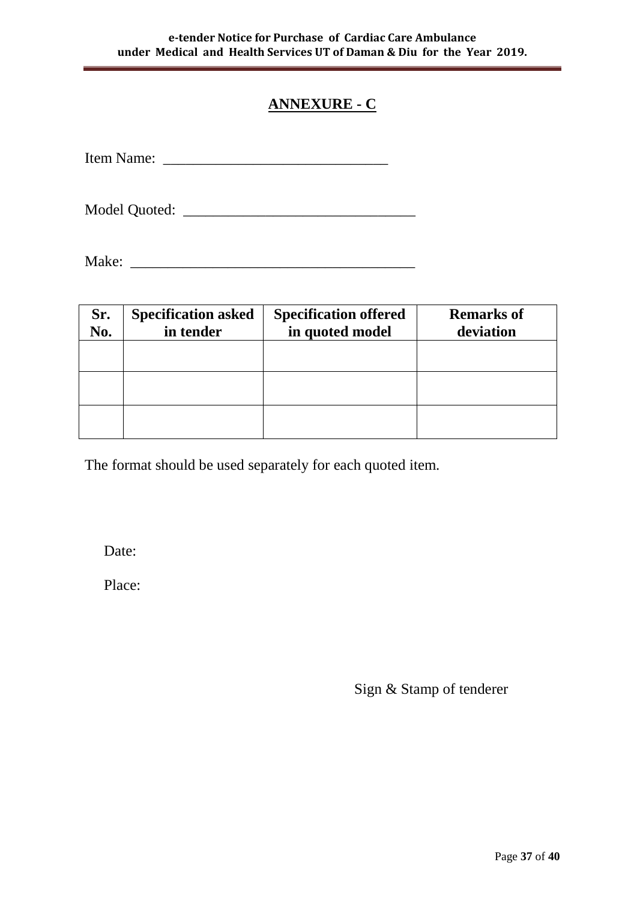# **ANNEXURE - C**

| Item Name: |  |
|------------|--|
|------------|--|

Model Quoted: \_\_\_\_\_\_\_\_\_\_\_\_\_\_\_\_\_\_\_\_\_\_\_\_\_\_\_\_\_\_\_

Make: \_\_\_\_\_\_\_\_\_\_\_\_\_\_\_\_\_\_\_\_\_\_\_\_\_\_\_\_\_\_\_\_\_\_\_\_\_\_

| Sr.<br>No. | <b>Specification asked</b><br>in tender | <b>Specification offered</b><br>in quoted model | <b>Remarks of</b><br>deviation |
|------------|-----------------------------------------|-------------------------------------------------|--------------------------------|
|            |                                         |                                                 |                                |
|            |                                         |                                                 |                                |
|            |                                         |                                                 |                                |

The format should be used separately for each quoted item.

Date:

Place:

Sign & Stamp of tenderer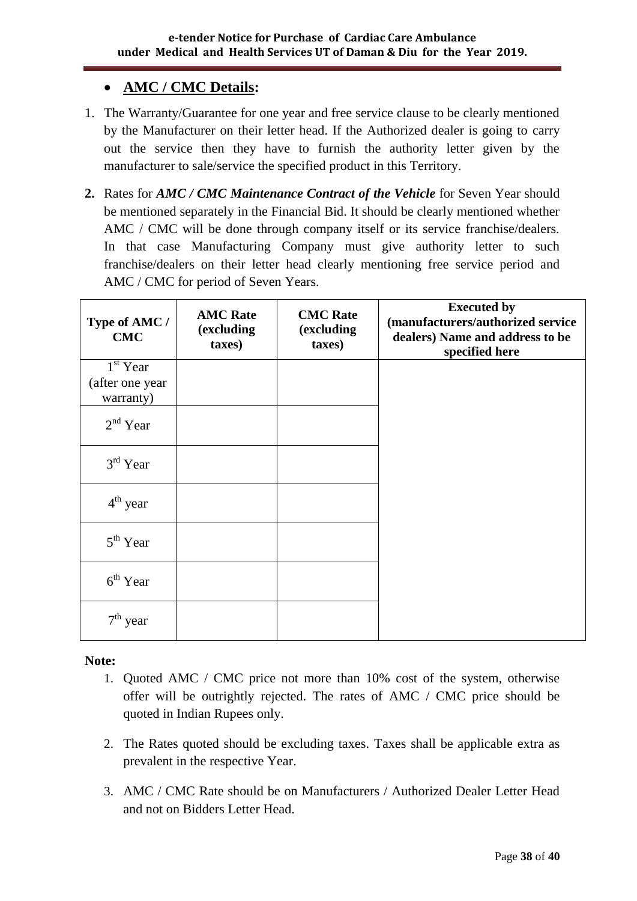# **AMC / CMC Details:**

- 1. The Warranty/Guarantee for one year and free service clause to be clearly mentioned by the Manufacturer on their letter head. If the Authorized dealer is going to carry out the service then they have to furnish the authority letter given by the manufacturer to sale/service the specified product in this Territory.
- **2.** Rates for *AMC / CMC Maintenance Contract of the Vehicle* for Seven Year should be mentioned separately in the Financial Bid. It should be clearly mentioned whether AMC / CMC will be done through company itself or its service franchise/dealers. In that case Manufacturing Company must give authority letter to such franchise/dealers on their letter head clearly mentioning free service period and AMC / CMC for period of Seven Years.

| Type of AMC /<br><b>CMC</b> | <b>AMC Rate</b><br>(excluding<br>taxes) | <b>CMC</b> Rate<br>(excluding<br>taxes) | <b>Executed by</b><br>(manufacturers/authorized service<br>dealers) Name and address to be<br>specified here |
|-----------------------------|-----------------------------------------|-----------------------------------------|--------------------------------------------------------------------------------------------------------------|
| $1st$ Year                  |                                         |                                         |                                                                                                              |
| (after one year             |                                         |                                         |                                                                                                              |
| warranty)                   |                                         |                                         |                                                                                                              |
| $2nd$ Year                  |                                         |                                         |                                                                                                              |
| $3rd$ Year                  |                                         |                                         |                                                                                                              |
| $4th$ year                  |                                         |                                         |                                                                                                              |
| $5th$ Year                  |                                         |                                         |                                                                                                              |
| $6th$ Year                  |                                         |                                         |                                                                                                              |
| $7th$ year                  |                                         |                                         |                                                                                                              |

## **Note:**

- 1. Quoted AMC / CMC price not more than 10% cost of the system, otherwise offer will be outrightly rejected. The rates of AMC / CMC price should be quoted in Indian Rupees only.
- 2. The Rates quoted should be excluding taxes. Taxes shall be applicable extra as prevalent in the respective Year.
- 3. AMC / CMC Rate should be on Manufacturers / Authorized Dealer Letter Head and not on Bidders Letter Head.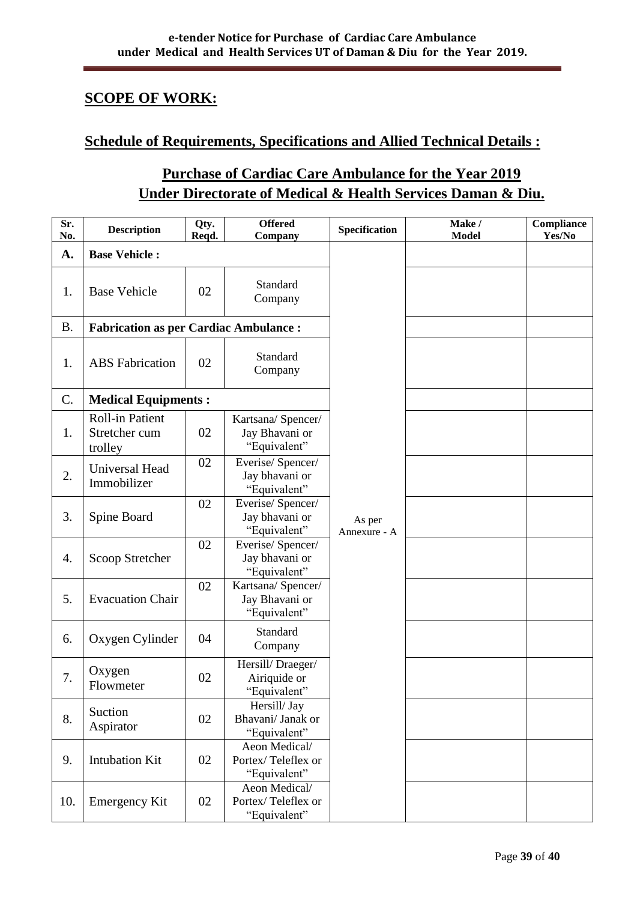# **SCOPE OF WORK:**

## **Schedule of Requirements, Specifications and Allied Technical Details :**

# **Purchase of Cardiac Care Ambulance for the Year 2019 Under Directorate of Medical & Health Services Daman & Diu.**

| Sr.<br>No. | <b>Description</b>                                 | Qty.<br>Reqd. | <b>Offered</b><br>Company                            | Specification          | Make /<br><b>Model</b> | Compliance<br>Yes/No |
|------------|----------------------------------------------------|---------------|------------------------------------------------------|------------------------|------------------------|----------------------|
| A.         | <b>Base Vehicle:</b>                               |               |                                                      |                        |                        |                      |
| 1.         | <b>Base Vehicle</b>                                | 02            | Standard<br>Company                                  |                        |                        |                      |
| <b>B.</b>  | <b>Fabrication as per Cardiac Ambulance:</b>       |               |                                                      |                        |                        |                      |
| 1.         | <b>ABS</b> Fabrication                             | 02            | Standard<br>Company                                  |                        |                        |                      |
| C.         | <b>Medical Equipments:</b>                         |               |                                                      |                        |                        |                      |
| 1.         | <b>Roll-in Patient</b><br>Stretcher cum<br>trolley | 02            | Kartsana/Spencer/<br>Jay Bhavani or<br>"Equivalent"  |                        |                        |                      |
| 2.         | <b>Universal Head</b><br>Immobilizer               | 02            | Everise/Spencer/<br>Jay bhavani or<br>"Equivalent"   |                        |                        |                      |
| 3.         | Spine Board                                        | 02            | Everise/Spencer/<br>Jay bhavani or<br>"Equivalent"   | As per<br>Annexure - A |                        |                      |
| 4.         | Scoop Stretcher                                    | 02            | Everise/Spencer/<br>Jay bhavani or<br>"Equivalent"   |                        |                        |                      |
| 5.         | <b>Evacuation Chair</b>                            | 02            | Kartsana/ Spencer/<br>Jay Bhavani or<br>"Equivalent" |                        |                        |                      |
| 6.         | Oxygen Cylinder                                    | 04            | Standard<br>Company                                  |                        |                        |                      |
| 7.         | Oxygen<br>Flowmeter                                | 02            | Hersill/Draeger/<br>Airiquide or<br>"Equivalent"     |                        |                        |                      |
| 8.         | Suction<br>Aspirator                               | 02            | Hersill/ Jay<br>Bhavani/ Janak or<br>"Equivalent"    |                        |                        |                      |
| 9.         | <b>Intubation Kit</b>                              | 02            | Aeon Medical/<br>Portex/Teleflex or<br>"Equivalent"  |                        |                        |                      |
| 10.        | <b>Emergency Kit</b>                               | 02            | Aeon Medical/<br>Portex/Teleflex or<br>"Equivalent"  |                        |                        |                      |